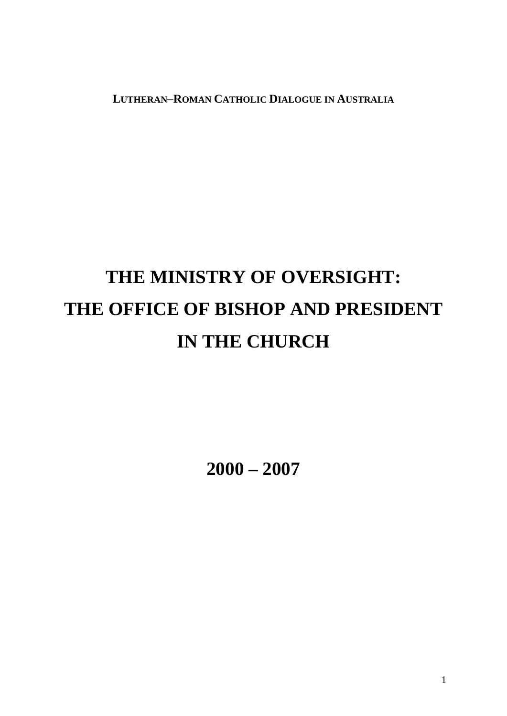**LUTHERAN–ROMAN CATHOLIC DIALOGUE IN AUSTRALIA**

# **THE MINISTRY OF OVERSIGHT: THE OFFICE OF BISHOP AND PRESIDENT IN THE CHURCH**

**2000 – 2007**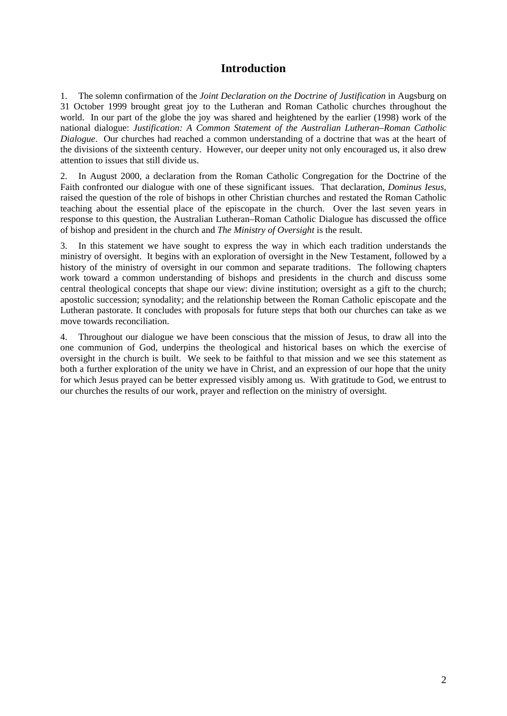## **Introduction**

1. The solemn confirmation of the *Joint Declaration on the Doctrine of Justification* in Augsburg on 31 October 1999 brought great joy to the Lutheran and Roman Catholic churches throughout the world. In our part of the globe the joy was shared and heightened by the earlier (1998) work of the national dialogue: *Justification: A Common Statement of the Australian Lutheran–Roman Catholic Dialogue*. Our churches had reached a common understanding of a doctrine that was at the heart of the divisions of the sixteenth century. However, our deeper unity not only encouraged us, it also drew attention to issues that still divide us.

2. In August 2000, a declaration from the Roman Catholic Congregation for the Doctrine of the Faith confronted our dialogue with one of these significant issues. That declaration, *Dominus Iesus*, raised the question of the role of bishops in other Christian churches and restated the Roman Catholic teaching about the essential place of the episcopate in the church. Over the last seven years in response to this question, the Australian Lutheran–Roman Catholic Dialogue has discussed the office of bishop and president in the church and *The Ministry of Oversight* is the result.

3. In this statement we have sought to express the way in which each tradition understands the ministry of oversight. It begins with an exploration of oversight in the New Testament, followed by a history of the ministry of oversight in our common and separate traditions. The following chapters work toward a common understanding of bishops and presidents in the church and discuss some central theological concepts that shape our view: divine institution; oversight as a gift to the church; apostolic succession; synodality; and the relationship between the Roman Catholic episcopate and the Lutheran pastorate. It concludes with proposals for future steps that both our churches can take as we move towards reconciliation.

4. Throughout our dialogue we have been conscious that the mission of Jesus, to draw all into the one communion of God, underpins the theological and historical bases on which the exercise of oversight in the church is built. We seek to be faithful to that mission and we see this statement as both a further exploration of the unity we have in Christ, and an expression of our hope that the unity for which Jesus prayed can be better expressed visibly among us. With gratitude to God, we entrust to our churches the results of our work, prayer and reflection on the ministry of oversight.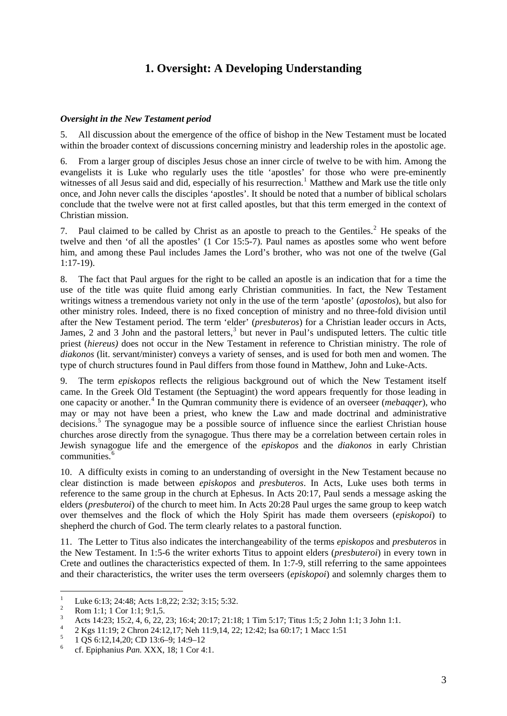# **1. Oversight: A Developing Understanding**

#### *Oversight in the New Testament period*

5. All discussion about the emergence of the office of bishop in the New Testament must be located within the broader context of discussions concerning ministry and leadership roles in the apostolic age.

6. From a larger group of disciples Jesus chose an inner circle of twelve to be with him. Among the evangelists it is Luke who regularly uses the title 'apostles' for those who were pre-eminently witnesses of all Jesus said and did, especially of his resurrection.<sup>[1](#page-2-0)</sup> Matthew and Mark use the title only once, and John never calls the disciples 'apostles'. It should be noted that a number of biblical scholars conclude that the twelve were not at first called apostles, but that this term emerged in the context of Christian mission.

7. Paul claimed to be called by Christ as an apostle to preach to the Gentiles.<sup>[2](#page-2-1)</sup> He speaks of the twelve and then 'of all the apostles' (1 Cor 15:5-7). Paul names as apostles some who went before him, and among these Paul includes James the Lord's brother, who was not one of the twelve (Gal 1:17-19).

8. The fact that Paul argues for the right to be called an apostle is an indication that for a time the use of the title was quite fluid among early Christian communities. In fact, the New Testament writings witness a tremendous variety not only in the use of the term 'apostle' (*apostolos*), but also for other ministry roles. Indeed, there is no fixed conception of ministry and no three-fold division until after the New Testament period. The term 'elder' (*presbuteros*) for a Christian leader occurs in Acts, James, 2 and [3](#page-2-2) John and the pastoral letters,<sup>3</sup> but never in Paul's undisputed letters. The cultic title priest (*hiereus)* does not occur in the New Testament in reference to Christian ministry. The role of *diakonos* (lit. servant/minister) conveys a variety of senses, and is used for both men and women. The type of church structures found in Paul differs from those found in Matthew, John and Luke-Acts.

9. The term *episkopos* reflects the religious background out of which the New Testament itself came. In the Greek Old Testament (the Septuagint) the word appears frequently for those leading in one capacity or another.<sup>[4](#page-2-3)</sup> In the Qumran community there is evidence of an overseer (*mebaqqer*), who may or may not have been a priest, who knew the Law and made doctrinal and administrative decisions.<sup>[5](#page-2-4)</sup> The synagogue may be a possible source of influence since the earliest Christian house churches arose directly from the synagogue. Thus there may be a correlation between certain roles in Jewish synagogue life and the emergence of the *episkopos* and the *diakonos* in early Christian  $commu$ nities.<sup>[6](#page-2-5)</sup>

10. A difficulty exists in coming to an understanding of oversight in the New Testament because no clear distinction is made between *episkopos* and *presbuteros*. In Acts, Luke uses both terms in reference to the same group in the church at Ephesus. In Acts 20:17, Paul sends a message asking the elders (*presbuteroi*) of the church to meet him. In Acts 20:28 Paul urges the same group to keep watch over themselves and the flock of which the Holy Spirit has made them overseers (*episkopoi*) to shepherd the church of God. The term clearly relates to a pastoral function.

11. The Letter to Titus also indicates the interchangeability of the terms *episkopos* and *presbuteros* in the New Testament. In 1:5-6 the writer exhorts Titus to appoint elders (*presbuteroi*) in every town in Crete and outlines the characteristics expected of them. In 1:7-9, still referring to the same appointees and their characteristics, the writer uses the term overseers (*episkopoi*) and solemnly charges them to

 $\frac{1}{1}$ Luke 6:13; 24:48; Acts 1:8,22; 2:32; 3:15; 5:32.

<span id="page-2-1"></span><span id="page-2-0"></span> $\overline{2}$ Rom 1:1; 1 Cor 1:1; 9:1,5.

<span id="page-2-2"></span><sup>3</sup> Acts 14:23; 15:2, 4, 6, 22, 23; 16:4; 20:17; 21:18; 1 Tim 5:17; Titus 1:5; 2 John 1:1; 3 John 1:1.

<span id="page-2-3"></span><sup>4</sup> 2 Kgs 11:19; 2 Chron 24:12,17; Neh 11:9,14, 22; 12:42; Isa 60:17; 1 Macc 1:51

<span id="page-2-4"></span><sup>5</sup> 1 QS 6:12,14,20; CD 13:6–9; 14:9–12

<span id="page-2-5"></span><sup>6</sup> cf. Epiphanius *Pan.* XXX, 18; 1 Cor 4:1.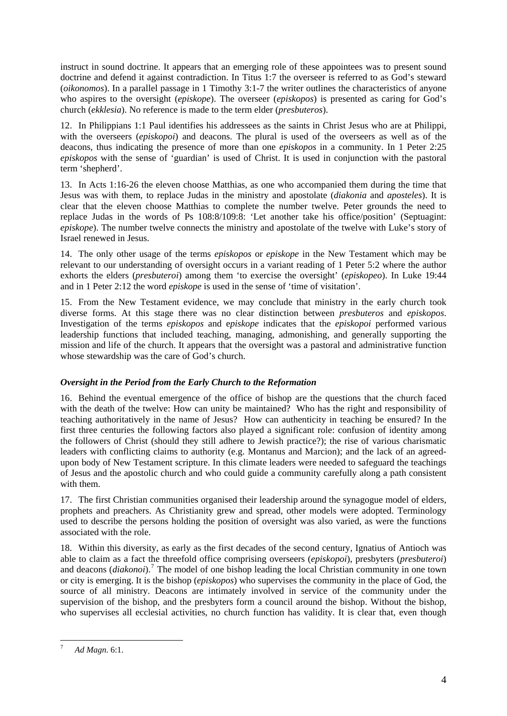instruct in sound doctrine. It appears that an emerging role of these appointees was to present sound doctrine and defend it against contradiction. In Titus 1:7 the overseer is referred to as God's steward (*oikonomos*). In a parallel passage in 1 Timothy 3:1-7 the writer outlines the characteristics of anyone who aspires to the oversight (*episkope*). The overseer (*episkopos*) is presented as caring for God's church (*ekklesia*). No reference is made to the term elder (*presbuteros*).

12. In Philippians 1:1 Paul identifies his addressees as the saints in Christ Jesus who are at Philippi, with the overseers (*episkopoi*) and deacons. The plural is used of the overseers as well as of the deacons, thus indicating the presence of more than one *episkopos* in a community. In 1 Peter 2:25 *episkopos* with the sense of 'guardian' is used of Christ. It is used in conjunction with the pastoral term 'shepherd'.

13. In Acts 1:16-26 the eleven choose Matthias, as one who accompanied them during the time that Jesus was with them, to replace Judas in the ministry and apostolate (*diakonia* and *aposteles*). It is clear that the eleven choose Matthias to complete the number twelve. Peter grounds the need to replace Judas in the words of Ps 108:8/109:8: 'Let another take his office/position' (Septuagint: *episkope*). The number twelve connects the ministry and apostolate of the twelve with Luke's story of Israel renewed in Jesus.

14. The only other usage of the terms *episkopos* or *episkope* in the New Testament which may be relevant to our understanding of oversight occurs in a variant reading of 1 Peter 5:2 where the author exhorts the elders (*presbuteroi*) among them 'to exercise the oversight' (*episkopeo*). In Luke 19:44 and in 1 Peter 2:12 the word *episkope* is used in the sense of 'time of visitation'.

15. From the New Testament evidence, we may conclude that ministry in the early church took diverse forms. At this stage there was no clear distinction between *presbuteros* and *episkopos*. Investigation of the terms *episkopos* and e*piskope* indicates that the *episkopoi* performed various leadership functions that included teaching, managing, admonishing, and generally supporting the mission and life of the church. It appears that the oversight was a pastoral and administrative function whose stewardship was the care of God's church.

#### *Oversight in the Period from the Early Church to the Reformation*

16. Behind the eventual emergence of the office of bishop are the questions that the church faced with the death of the twelve: How can unity be maintained? Who has the right and responsibility of teaching authoritatively in the name of Jesus? How can authenticity in teaching be ensured? In the first three centuries the following factors also played a significant role: confusion of identity among the followers of Christ (should they still adhere to Jewish practice?); the rise of various charismatic leaders with conflicting claims to authority (e.g. Montanus and Marcion); and the lack of an agreedupon body of New Testament scripture. In this climate leaders were needed to safeguard the teachings of Jesus and the apostolic church and who could guide a community carefully along a path consistent with them.

17. The first Christian communities organised their leadership around the synagogue model of elders, prophets and preachers. As Christianity grew and spread, other models were adopted. Terminology used to describe the persons holding the position of oversight was also varied, as were the functions associated with the role.

18. Within this diversity, as early as the first decades of the second century, Ignatius of Antioch was able to claim as a fact the threefold office comprising overseers (*episkopoi*), presbyters (*presbuteroi*) and deacons (*diakonoi*).<sup>[7](#page-3-0)</sup> The model of one bishop leading the local Christian community in one town or city is emerging. It is the bishop (*episkopos*) who supervises the community in the place of God, the source of all ministry. Deacons are intimately involved in service of the community under the supervision of the bishop, and the presbyters form a council around the bishop. Without the bishop, who supervises all ecclesial activities, no church function has validity. It is clear that, even though

<span id="page-3-0"></span><sup>1</sup> 7 *Ad Magn*. 6:1.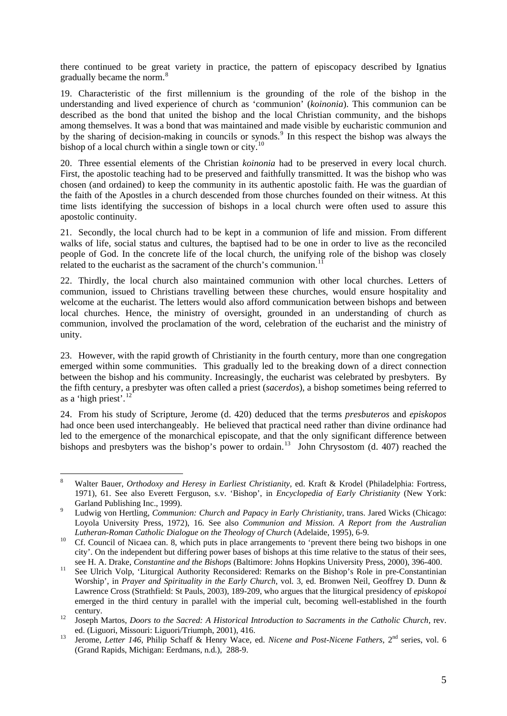there continued to be great variety in practice, the pattern of episcopacy described by Ignatius gradually became the norm.<sup>8</sup>

19. Characteristic of the first millennium is the grounding of the role of the bishop in the understanding and lived experience of church as 'communion' (*koinonia*). This communion can be described as the bond that united the bishop and the local Christian community, and the bishops among themselves. It was a bond that was maintained and made visible by eucharistic communion and by the sharing of decision-making in councils or synods.<sup>[9](#page-4-0)</sup> In this respect the bishop was always the bishop of a local church within a single town or city.<sup>[10](#page-4-1)</sup>

20. Three essential elements of the Christian *koinonia* had to be preserved in every local church. First, the apostolic teaching had to be preserved and faithfully transmitted. It was the bishop who was chosen (and ordained) to keep the community in its authentic apostolic faith. He was the guardian of the faith of the Apostles in a church descended from those churches founded on their witness. At this time lists identifying the succession of bishops in a local church were often used to assure this apostolic continuity.

21. Secondly, the local church had to be kept in a communion of life and mission. From different walks of life, social status and cultures, the baptised had to be one in order to live as the reconciled people of God. In the concrete life of the local church, the unifying role of the bishop was closely related to the eucharist as the sacrament of the church's communion.<sup>[11](#page-4-2)</sup>

22. Thirdly, the local church also maintained communion with other local churches. Letters of communion, issued to Christians travelling between these churches, would ensure hospitality and welcome at the eucharist. The letters would also afford communication between bishops and between local churches. Hence, the ministry of oversight, grounded in an understanding of church as communion, involved the proclamation of the word, celebration of the eucharist and the ministry of unity.

23. However, with the rapid growth of Christianity in the fourth century, more than one congregation emerged within some communities. This gradually led to the breaking down of a direct connection between the bishop and his community. Increasingly, the eucharist was celebrated by presbyters. By the fifth century, a presbyter was often called a priest (*sacerdos*), a bishop sometimes being referred to as a 'high priest'.<sup>[12](#page-4-3)</sup>

24. From his study of Scripture, Jerome (d. 420) deduced that the terms *presbuteros* and *episkopos* had once been used interchangeably. He believed that practical need rather than divine ordinance had led to the emergence of the monarchical episcopate, and that the only significant difference between bishops and presbyters was the bishop's power to ordain.<sup>[13](#page-4-4)</sup> John Chrysostom (d. 407) reached the

 $\frac{1}{8}$  Walter Bauer, *Orthodoxy and Heresy in Earliest Christianity,* ed. Kraft & Krodel (Philadelphia: Fortress, 1971), 61. See also Everett Ferguson, s.v. 'Bishop', in *Encyclopedia of Early Christianity* (New York: Garland Publishing Inc., 1999).

<span id="page-4-0"></span>Ludwig von Hertling, *Communion: Church and Papacy in Early Christianity*, trans. Jared Wicks (Chicago: Loyola University Press, 1972), 16. See also *Communion and Mission. A Report from the Australian Lutheran-Roman Catholic Dialogue on the Theology of Church* (Adelaide, 1995), 6-9.<br><sup>10</sup> Cf. Council of Nicaea can. 8, which puts in place arrangements to 'prevent there being two bishops in one

<span id="page-4-1"></span>city'. On the independent but differing power bases of bishops at this time relative to the status of their sees,

<span id="page-4-2"></span>see H. A. Drake, *Constantine and the Bishops* (Baltimore: Johns Hopkins University Press, 2000), 396-400.<br><sup>11</sup> See Ulrich Volp, 'Liturgical Authority Reconsidered: Remarks on the Bishop's Role in pre-Constantinian Worship', in *Prayer and Spirituality in the Early Church*, vol. 3, ed. Bronwen Neil, Geoffrey D. Dunn & Lawrence Cross (Strathfield: St Pauls, 2003), 189-209, who argues that the liturgical presidency of *episkopoi* emerged in the third century in parallel with the imperial cult, becoming well-established in the fourth century. 12 Joseph Martos, *Doors to the Sacred: A Historical Introduction to Sacraments in the Catholic Church*, rev.

<span id="page-4-3"></span>ed. (Liguori, Missouri: Liguori/Triumph, 2001), 416.<br><sup>13</sup> Jerome, *Letter 146*, Philip Schaff & Henry Wace, ed. *Nicene and Post-Nicene Fathers*, 2<sup>nd</sup> series, vol. 6

<span id="page-4-4"></span><sup>(</sup>Grand Rapids, Michigan: Eerdmans, n.d.), 288-9.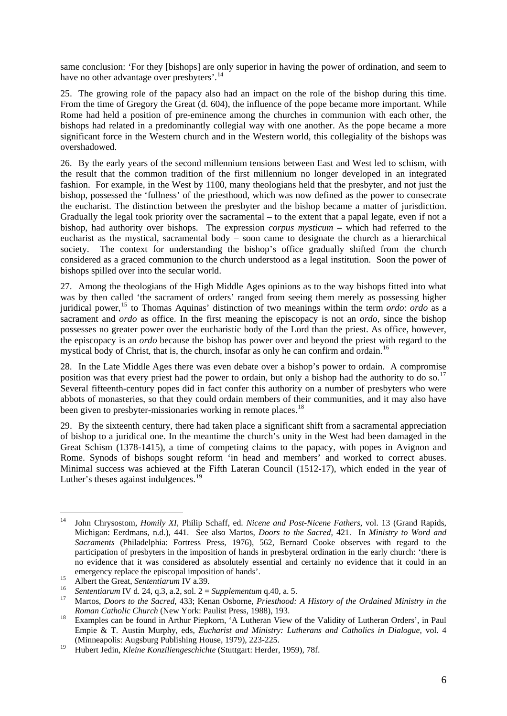same conclusion: 'For they [bishops] are only superior in having the power of ordination, and seem to have no other advantage over presbyters'.<sup>14</sup>

25. The growing role of the papacy also had an impact on the role of the bishop during this time. From the time of Gregory the Great (d. 604), the influence of the pope became more important. While Rome had held a position of pre-eminence among the churches in communion with each other, the bishops had related in a predominantly collegial way with one another. As the pope became a more significant force in the Western church and in the Western world, this collegiality of the bishops was overshadowed.

26. By the early years of the second millennium tensions between East and West led to schism, with the result that the common tradition of the first millennium no longer developed in an integrated fashion. For example, in the West by 1100, many theologians held that the presbyter, and not just the bishop, possessed the 'fullness' of the priesthood, which was now defined as the power to consecrate the eucharist. The distinction between the presbyter and the bishop became a matter of jurisdiction. Gradually the legal took priority over the sacramental – to the extent that a papal legate, even if not a bishop, had authority over bishops. The expression *corpus mysticum* – which had referred to the eucharist as the mystical, sacramental body – soon came to designate the church as a hierarchical society. The context for understanding the bishop's office gradually shifted from the church considered as a graced communion to the church understood as a legal institution. Soon the power of bishops spilled over into the secular world.

27. Among the theologians of the High Middle Ages opinions as to the way bishops fitted into what was by then called 'the sacrament of orders' ranged from seeing them merely as possessing higher juridical power,<sup>[15](#page-5-0)</sup> to Thomas Aquinas' distinction of two meanings within the term *ordo*: *ordo* as a sacrament and *ordo* as office. In the first meaning the episcopacy is not an *ordo*, since the bishop possesses no greater power over the eucharistic body of the Lord than the priest. As office, however, the episcopacy is an *ordo* because the bishop has power over and beyond the priest with regard to the mystical body of Christ, that is, the church, insofar as only he can confirm and ordain.<sup>[16](#page-5-1)</sup>

28. In the Late Middle Ages there was even debate over a bishop's power to ordain. A compromise position was that every priest had the power to ordain, but only a bishop had the authority to do so.<sup>[17](#page-5-2)</sup> Several fifteenth-century popes did in fact confer this authority on a number of presbyters who were abbots of monasteries, so that they could ordain members of their communities, and it may also have been given to presbyter-missionaries working in remote places.<sup>[18](#page-5-3)</sup>

29. By the sixteenth century, there had taken place a significant shift from a sacramental appreciation of bishop to a juridical one. In the meantime the church's unity in the West had been damaged in the Great Schism (1378-1415), a time of competing claims to the papacy, with popes in Avignon and Rome. Synods of bishops sought reform 'in head and members' and worked to correct abuses. Minimal success was achieved at the Fifth Lateran Council (1512-17), which ended in the year of Luther's theses against indulgences. $19$ 

 $14$ 14 John Chrysostom, *Homily XI*, Philip Schaff, ed. *Nicene and Post-Nicene Fathers*, vol. 13 (Grand Rapids, Michigan: Eerdmans, n.d.), 441. See also Martos, *Doors to the Sacred*, 421. In *Ministry to Word and Sacraments* (Philadelphia: Fortress Press, 1976), 562, Bernard Cooke observes with regard to the participation of presbyters in the imposition of hands in presbyteral ordination in the early church: 'there is no evidence that it was considered as absolutely essential and certainly no evidence that it could in an emergency replace the episcopal imposition of hands'.<br>
<sup>15</sup> Albert the Great, *Sententiarum* IV a.39.<br>
<sup>16</sup> Sententiarum IV d. 24, q.3, a.2, sol. 2 = Supplementum q.40, a. 5.<br>
<sup>17</sup> Martos, *Doors to the Sacred*, 433; Kena

<span id="page-5-0"></span>

<span id="page-5-2"></span><span id="page-5-1"></span>*Roman Catholic Church* (New York: Paulist Press, 1988), 193.<br><sup>18</sup> Examples can be found in Arthur Piepkorn, 'A Lutheran View of the Validity of Lutheran Orders', in Paul

<span id="page-5-3"></span>Empie & T. Austin Murphy, eds, *Eucharist and Ministry: Lutherans and Catholics in Dialogue*, vol. 4 (Minneapolis: Augsburg Publishing House, 1979), 223-225.

<span id="page-5-4"></span><sup>19</sup> Hubert Jedin, *Kleine Konziliengeschichte* (Stuttgart: Herder, 1959), 78f.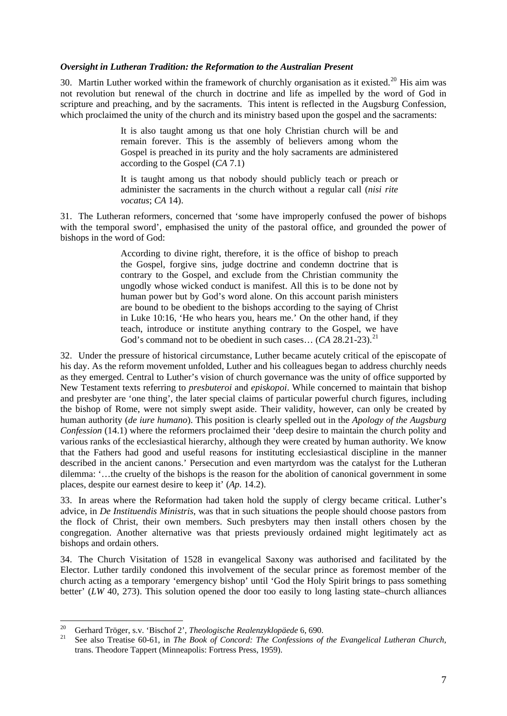#### *Oversight in Lutheran Tradition: the Reformation to the Australian Present*

30. Martin Luther worked within the framework of churchly organisation as it existed.<sup>[20](#page-6-0)</sup> His aim was not revolution but renewal of the church in doctrine and life as impelled by the word of God in scripture and preaching, and by the sacraments. This intent is reflected in the Augsburg Confession, which proclaimed the unity of the church and its ministry based upon the gospel and the sacraments:

> It is also taught among us that one holy Christian church will be and remain forever. This is the assembly of believers among whom the Gospel is preached in its purity and the holy sacraments are administered according to the Gospel (*CA* 7.1)

> It is taught among us that nobody should publicly teach or preach or administer the sacraments in the church without a regular call (*nisi rite vocatus*; *CA* 14).

31. The Lutheran reformers, concerned that 'some have improperly confused the power of bishops with the temporal sword', emphasised the unity of the pastoral office, and grounded the power of bishops in the word of God:

> According to divine right, therefore, it is the office of bishop to preach the Gospel, forgive sins, judge doctrine and condemn doctrine that is contrary to the Gospel, and exclude from the Christian community the ungodly whose wicked conduct is manifest. All this is to be done not by human power but by God's word alone. On this account parish ministers are bound to be obedient to the bishops according to the saying of Christ in Luke 10:16, 'He who hears you, hears me.' On the other hand, if they teach, introduce or institute anything contrary to the Gospel, we have God's command not to be obedient in such cases... (*CA* 28.[21](#page-6-0)-23).<sup>21</sup>

32. Under the pressure of historical circumstance, Luther became acutely critical of the episcopate of his day. As the reform movement unfolded, Luther and his colleagues began to address churchly needs as they emerged. Central to Luther's vision of church governance was the unity of office supported by New Testament texts referring to *presbuteroi* and *episkopoi*. While concerned to maintain that bishop and presbyter are 'one thing', the later special claims of particular powerful church figures, including the bishop of Rome, were not simply swept aside. Their validity, however, can only be created by human authority (*de iure humano*). This position is clearly spelled out in the *Apology of the Augsburg Confession* (14.1) where the reformers proclaimed their 'deep desire to maintain the church polity and various ranks of the ecclesiastical hierarchy, although they were created by human authority. We know that the Fathers had good and useful reasons for instituting ecclesiastical discipline in the manner described in the ancient canons.' Persecution and even martyrdom was the catalyst for the Lutheran dilemma: '…the cruelty of the bishops is the reason for the abolition of canonical government in some places, despite our earnest desire to keep it' (*Ap.* 14.2).

33. In areas where the Reformation had taken hold the supply of clergy became critical. Luther's advice, in *De Instituendis Ministris*, was that in such situations the people should choose pastors from the flock of Christ, their own members. Such presbyters may then install others chosen by the congregation. Another alternative was that priests previously ordained might legitimately act as bishops and ordain others.

34. The Church Visitation of 1528 in evangelical Saxony was authorised and facilitated by the Elector. Luther tardily condoned this involvement of the secular prince as foremost member of the church acting as a temporary 'emergency bishop' until 'God the Holy Spirit brings to pass something better' (*LW* 40, 273). This solution opened the door too easily to long lasting state–church alliances

<sup>20</sup> 

<span id="page-6-0"></span><sup>&</sup>lt;sup>20</sup> Gerhard Tröger, s.v. 'Bischof 2', *Theologische Realenzyklopäede* 6, 690.<br><sup>21</sup> See also Treatise 60-61, in *The Book of Concord: The Confessions of the Evangelical Lutheran Church*, trans. Theodore Tappert (Minneapolis: Fortress Press, 1959).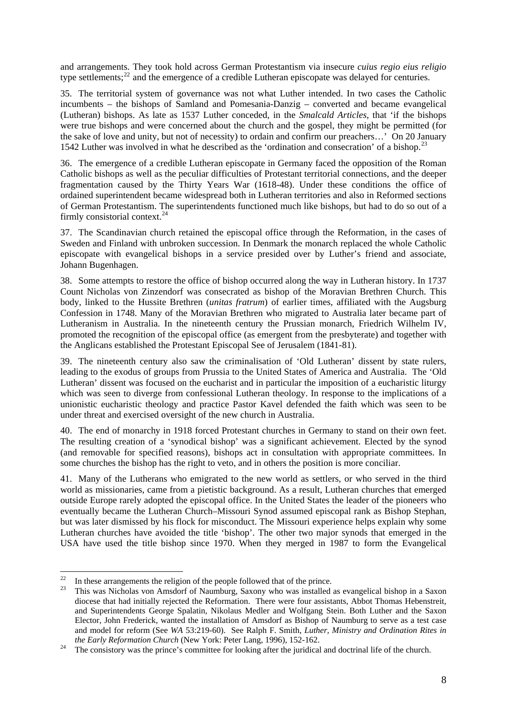and arrangements. They took hold across German Protestantism via insecure *cuius regio eius religio*  type settlements;<sup>22</sup> and the emergence of a credible Lutheran episcopate was delayed for centuries.

35. The territorial system of governance was not what Luther intended. In two cases the Catholic incumbents – the bishops of Samland and Pomesania-Danzig – converted and became evangelical (Lutheran) bishops. As late as 1537 Luther conceded, in the *Smalcald Articles*, that 'if the bishops were true bishops and were concerned about the church and the gospel, they might be permitted (for the sake of love and unity, but not of necessity) to ordain and confirm our preachers…' On 20 January 1542 Luther was involved in what he described as the 'ordination and consecration' of a bishop.<sup>[23](#page-7-0)</sup>

36. The emergence of a credible Lutheran episcopate in Germany faced the opposition of the Roman Catholic bishops as well as the peculiar difficulties of Protestant territorial connections, and the deeper fragmentation caused by the Thirty Years War (1618-48). Under these conditions the office of ordained superintendent became widespread both in Lutheran territories and also in Reformed sections of German Protestantism. The superintendents functioned much like bishops, but had to do so out of a firmly consistorial context.<sup>[24](#page-7-1)</sup>

37. The Scandinavian church retained the episcopal office through the Reformation, in the cases of Sweden and Finland with unbroken succession. In Denmark the monarch replaced the whole Catholic episcopate with evangelical bishops in a service presided over by Luther's friend and associate, Johann Bugenhagen.

38. Some attempts to restore the office of bishop occurred along the way in Lutheran history. In 1737 Count Nicholas von Zinzendorf was consecrated as bishop of the Moravian Brethren Church. This body, linked to the Hussite Brethren (*unitas fratrum*) of earlier times, affiliated with the Augsburg Confession in 1748. Many of the Moravian Brethren who migrated to Australia later became part of Lutheranism in Australia. In the nineteenth century the Prussian monarch, Friedrich Wilhelm IV, promoted the recognition of the episcopal office (as emergent from the presbyterate) and together with the Anglicans established the Protestant Episcopal See of Jerusalem (1841-81).

39. The nineteenth century also saw the criminalisation of 'Old Lutheran' dissent by state rulers, leading to the exodus of groups from Prussia to the United States of America and Australia. The 'Old Lutheran' dissent was focused on the eucharist and in particular the imposition of a eucharistic liturgy which was seen to diverge from confessional Lutheran theology. In response to the implications of a unionistic eucharistic theology and practice Pastor Kavel defended the faith which was seen to be under threat and exercised oversight of the new church in Australia.

40. The end of monarchy in 1918 forced Protestant churches in Germany to stand on their own feet. The resulting creation of a 'synodical bishop' was a significant achievement. Elected by the synod (and removable for specified reasons), bishops act in consultation with appropriate committees. In some churches the bishop has the right to veto, and in others the position is more conciliar.

41. Many of the Lutherans who emigrated to the new world as settlers, or who served in the third world as missionaries, came from a pietistic background. As a result, Lutheran churches that emerged outside Europe rarely adopted the episcopal office. In the United States the leader of the pioneers who eventually became the Lutheran Church–Missouri Synod assumed episcopal rank as Bishop Stephan, but was later dismissed by his flock for misconduct. The Missouri experience helps explain why some Lutheran churches have avoided the title 'bishop'. The other two major synods that emerged in the USA have used the title bishop since 1970. When they merged in 1987 to form the Evangelical

 $22$ 

<span id="page-7-0"></span><sup>&</sup>lt;sup>22</sup> In these arrangements the religion of the people followed that of the prince.<br><sup>23</sup> This was Nicholas von Amsdorf of Naumburg, Saxony who was installed as evangelical bishop in a Saxon diocese that had initially rejected the Reformation. There were four assistants, Abbot Thomas Hebenstreit, and Superintendents George Spalatin, Nikolaus Medler and Wolfgang Stein. Both Luther and the Saxon Elector, John Frederick, wanted the installation of Amsdorf as Bishop of Naumburg to serve as a test case and model for reform (See *WA* 53:219-60). See Ralph F. Smith, *Luther, Ministry and Ordination Rites in* 

<span id="page-7-1"></span>*the Early Reformation Church* (New York: Peter Lang, 1996), 152-162.<br><sup>24</sup> The consistory was the prince's committee for looking after the juridical and doctrinal life of the church.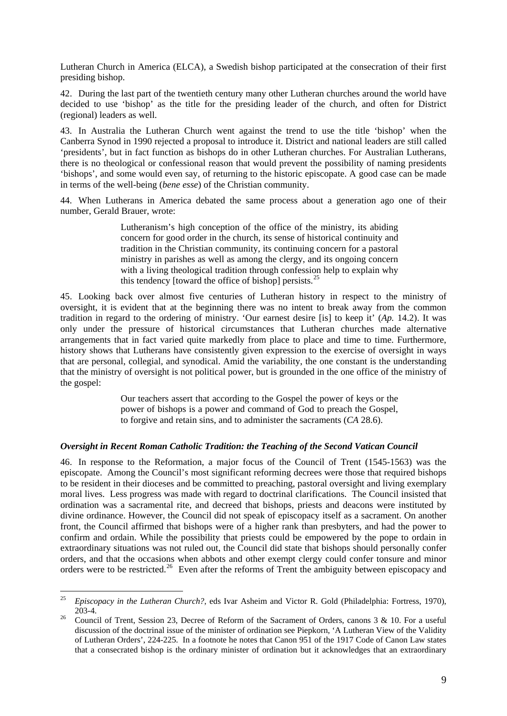Lutheran Church in America (ELCA), a Swedish bishop participated at the consecration of their first presiding bishop.

42. During the last part of the twentieth century many other Lutheran churches around the world have decided to use 'bishop' as the title for the presiding leader of the church, and often for District (regional) leaders as well.

43. In Australia the Lutheran Church went against the trend to use the title 'bishop' when the Canberra Synod in 1990 rejected a proposal to introduce it. District and national leaders are still called 'presidents', but in fact function as bishops do in other Lutheran churches. For Australian Lutherans, there is no theological or confessional reason that would prevent the possibility of naming presidents 'bishops', and some would even say, of returning to the historic episcopate. A good case can be made in terms of the well-being (*bene esse*) of the Christian community.

44. When Lutherans in America debated the same process about a generation ago one of their number, Gerald Brauer, wrote:

> Lutheranism's high conception of the office of the ministry, its abiding concern for good order in the church, its sense of historical continuity and tradition in the Christian community, its continuing concern for a pastoral ministry in parishes as well as among the clergy, and its ongoing concern with a living theological tradition through confession help to explain why this tendency [toward the office of bishop] persists. $^{25}$  $^{25}$  $^{25}$

45. Looking back over almost five centuries of Lutheran history in respect to the ministry of oversight, it is evident that at the beginning there was no intent to break away from the common tradition in regard to the ordering of ministry. 'Our earnest desire [is] to keep it' (*Ap.* 14.2). It was only under the pressure of historical circumstances that Lutheran churches made alternative arrangements that in fact varied quite markedly from place to place and time to time. Furthermore, history shows that Lutherans have consistently given expression to the exercise of oversight in ways that are personal, collegial, and synodical. Amid the variability, the one constant is the understanding that the ministry of oversight is not political power, but is grounded in the one office of the ministry of the gospel:

> Our teachers assert that according to the Gospel the power of keys or the power of bishops is a power and command of God to preach the Gospel, to forgive and retain sins, and to administer the sacraments (*CA* 28.6).

#### *Oversight in Recent Roman Catholic Tradition: the Teaching of the Second Vatican Council*

46. In response to the Reformation, a major focus of the Council of Trent (1545-1563) was the episcopate. Among the Council's most significant reforming decrees were those that required bishops to be resident in their dioceses and be committed to preaching, pastoral oversight and living exemplary moral lives. Less progress was made with regard to doctrinal clarifications. The Council insisted that ordination was a sacramental rite, and decreed that bishops, priests and deacons were instituted by divine ordinance. However, the Council did not speak of episcopacy itself as a sacrament. On another front, the Council affirmed that bishops were of a higher rank than presbyters, and had the power to confirm and ordain. While the possibility that priests could be empowered by the pope to ordain in extraordinary situations was not ruled out, the Council did state that bishops should personally confer orders, and that the occasions when abbots and other exempt clergy could confer tonsure and minor orders were to be restricted.[26](#page-8-1) Even after the reforms of Trent the ambiguity between episcopacy and

<span id="page-8-0"></span> $25$ 25 *Episcopacy in the Lutheran Church?*, eds Ivar Asheim and Victor R. Gold (Philadelphia: Fortress, 1970), 203-4.<br>Council of Trent, Session 23, Decree of Reform of the Sacrament of Orders, canons 3 & 10. For a useful

<span id="page-8-1"></span>discussion of the doctrinal issue of the minister of ordination see Piepkorn, 'A Lutheran View of the Validity of Lutheran Orders', 224-225. In a footnote he notes that Canon 951 of the 1917 Code of Canon Law states that a consecrated bishop is the ordinary minister of ordination but it acknowledges that an extraordinary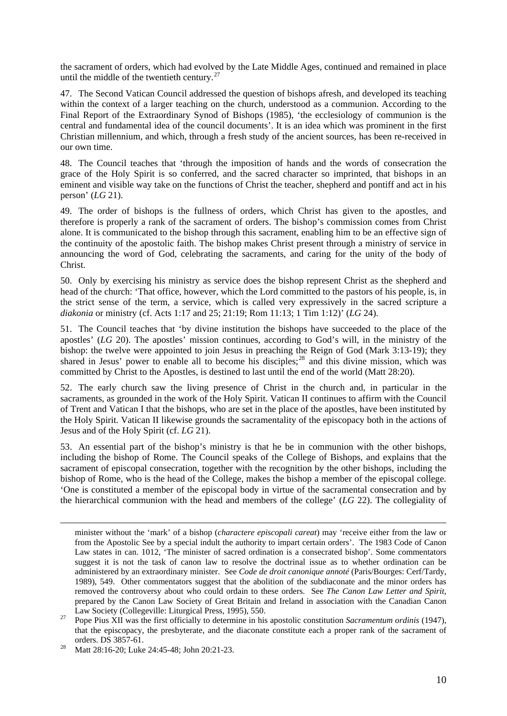the sacrament of orders, which had evolved by the Late Middle Ages, continued and remained in place until the middle of the twentieth century. $27$ 

47. The Second Vatican Council addressed the question of bishops afresh, and developed its teaching within the context of a larger teaching on the church, understood as a communion. According to the Final Report of the Extraordinary Synod of Bishops (1985), 'the ecclesiology of communion is the central and fundamental idea of the council documents'. It is an idea which was prominent in the first Christian millennium, and which, through a fresh study of the ancient sources, has been re-received in our own time.

48. The Council teaches that 'through the imposition of hands and the words of consecration the grace of the Holy Spirit is so conferred, and the sacred character so imprinted, that bishops in an eminent and visible way take on the functions of Christ the teacher, shepherd and pontiff and act in his person' (*LG* 21).

49. The order of bishops is the fullness of orders, which Christ has given to the apostles, and therefore is properly a rank of the sacrament of orders. The bishop's commission comes from Christ alone. It is communicated to the bishop through this sacrament, enabling him to be an effective sign of the continuity of the apostolic faith. The bishop makes Christ present through a ministry of service in announcing the word of God, celebrating the sacraments, and caring for the unity of the body of Christ.

50. Only by exercising his ministry as service does the bishop represent Christ as the shepherd and head of the church: 'That office, however, which the Lord committed to the pastors of his people, is, in the strict sense of the term, a service, which is called very expressively in the sacred scripture a *diakonia* or ministry (cf. Acts 1:17 and 25; 21:19; Rom 11:13; 1 Tim 1:12)' (*LG* 24).

51. The Council teaches that 'by divine institution the bishops have succeeded to the place of the apostles' (*LG* 20). The apostles' mission continues, according to God's will, in the ministry of the bishop: the twelve were appointed to join Jesus in preaching the Reign of God (Mark 3:13-19); they shared in Jesus' power to enable all to become his disciples;<sup>[28](#page-9-0)</sup> and this divine mission, which was committed by Christ to the Apostles, is destined to last until the end of the world (Matt 28:20).

52. The early church saw the living presence of Christ in the church and, in particular in the sacraments, as grounded in the work of the Holy Spirit. Vatican II continues to affirm with the Council of Trent and Vatican I that the bishops, who are set in the place of the apostles, have been instituted by the Holy Spirit. Vatican II likewise grounds the sacramentality of the episcopacy both in the actions of Jesus and of the Holy Spirit (cf. *LG* 21).

53. An essential part of the bishop's ministry is that he be in communion with the other bishops, including the bishop of Rome. The Council speaks of the College of Bishops, and explains that the sacrament of episcopal consecration, together with the recognition by the other bishops, including the bishop of Rome, who is the head of the College, makes the bishop a member of the episcopal college. 'One is constituted a member of the episcopal body in virtue of the sacramental consecration and by the hierarchical communion with the head and members of the college' (*LG* 22). The collegiality of

minister without the 'mark' of a bishop (*charactere episcopali careat*) may 'receive either from the law or from the Apostolic See by a special indult the authority to impart certain orders'. The 1983 Code of Canon Law states in can. 1012, 'The minister of sacred ordination is a consecrated bishop'. Some commentators suggest it is not the task of canon law to resolve the doctrinal issue as to whether ordination can be administered by an extraordinary minister. See *Code de droit canonique annoté* (Paris/Bourges: Cerf/Tardy, 1989), 549. Other commentators suggest that the abolition of the subdiaconate and the minor orders has removed the controversy about who could ordain to these orders. See *The Canon Law Letter and Spirit*, prepared by the Canon Law Society of Great Britain and Ireland in association with the Canadian Canon Law Society (Collegeville: Liturgical Press, 1995), 550. 27 Pope Pius XII was the first officially to determine in his apostolic constitution *Sacramentum ordinis* (1947),

that the episcopacy, the presbyterate, and the diaconate constitute each a proper rank of the sacrament of orders. DS 3857-61.<br>Matt 28:16-20; Luke 24:45-48; John 20:21-23.

<span id="page-9-0"></span>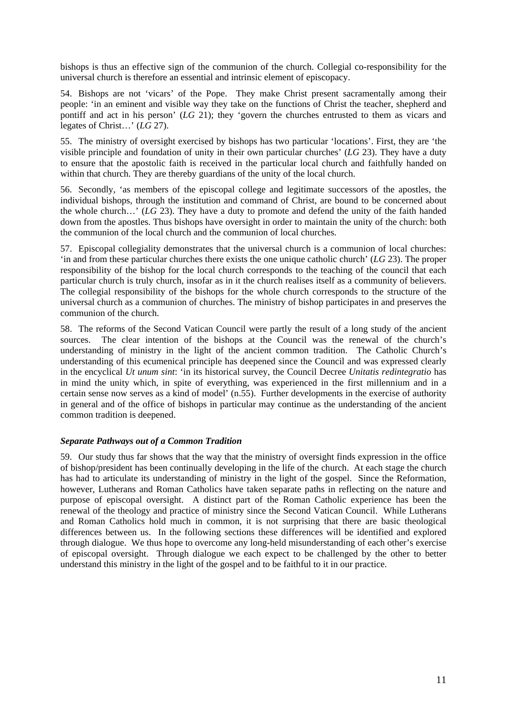bishops is thus an effective sign of the communion of the church. Collegial co-responsibility for the universal church is therefore an essential and intrinsic element of episcopacy.

54. Bishops are not 'vicars' of the Pope. They make Christ present sacramentally among their people: 'in an eminent and visible way they take on the functions of Christ the teacher, shepherd and pontiff and act in his person' (*LG* 21); they 'govern the churches entrusted to them as vicars and legates of Christ…' (*LG* 27).

55. The ministry of oversight exercised by bishops has two particular 'locations'. First, they are 'the visible principle and foundation of unity in their own particular churches' (*LG* 23). They have a duty to ensure that the apostolic faith is received in the particular local church and faithfully handed on within that church. They are thereby guardians of the unity of the local church.

56. Secondly, 'as members of the episcopal college and legitimate successors of the apostles, the individual bishops, through the institution and command of Christ, are bound to be concerned about the whole church…' (*LG* 23). They have a duty to promote and defend the unity of the faith handed down from the apostles. Thus bishops have oversight in order to maintain the unity of the church: both the communion of the local church and the communion of local churches.

57. Episcopal collegiality demonstrates that the universal church is a communion of local churches: 'in and from these particular churches there exists the one unique catholic church' (*LG* 23). The proper responsibility of the bishop for the local church corresponds to the teaching of the council that each particular church is truly church, insofar as in it the church realises itself as a community of believers. The collegial responsibility of the bishops for the whole church corresponds to the structure of the universal church as a communion of churches. The ministry of bishop participates in and preserves the communion of the church.

58. The reforms of the Second Vatican Council were partly the result of a long study of the ancient sources. The clear intention of the bishops at the Council was the renewal of the church's understanding of ministry in the light of the ancient common tradition. The Catholic Church's understanding of this ecumenical principle has deepened since the Council and was expressed clearly in the encyclical *Ut unum sint*: 'in its historical survey, the Council Decree *Unitatis redintegratio* has in mind the unity which, in spite of everything, was experienced in the first millennium and in a certain sense now serves as a kind of model' (n.55). Further developments in the exercise of authority in general and of the office of bishops in particular may continue as the understanding of the ancient common tradition is deepened.

#### *Separate Pathways out of a Common Tradition*

59. Our study thus far shows that the way that the ministry of oversight finds expression in the office of bishop/president has been continually developing in the life of the church. At each stage the church has had to articulate its understanding of ministry in the light of the gospel. Since the Reformation, however, Lutherans and Roman Catholics have taken separate paths in reflecting on the nature and purpose of episcopal oversight. A distinct part of the Roman Catholic experience has been the renewal of the theology and practice of ministry since the Second Vatican Council. While Lutherans and Roman Catholics hold much in common, it is not surprising that there are basic theological differences between us. In the following sections these differences will be identified and explored through dialogue. We thus hope to overcome any long-held misunderstanding of each other's exercise of episcopal oversight. Through dialogue we each expect to be challenged by the other to better understand this ministry in the light of the gospel and to be faithful to it in our practice.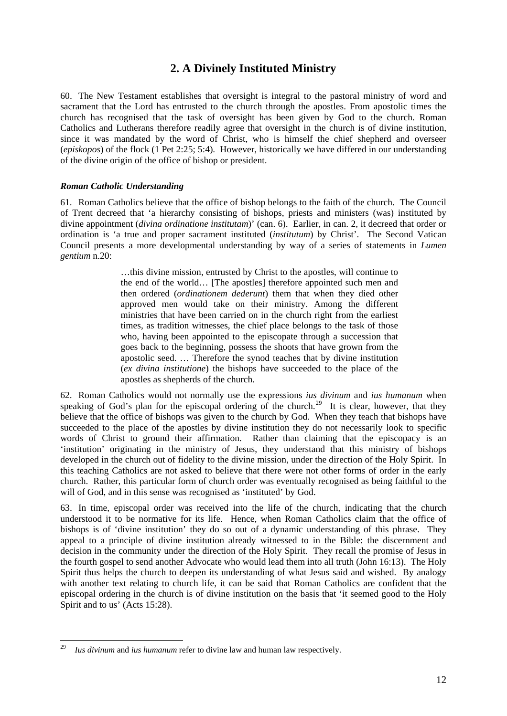## **2. A Divinely Instituted Ministry**

60. The New Testament establishes that oversight is integral to the pastoral ministry of word and sacrament that the Lord has entrusted to the church through the apostles. From apostolic times the church has recognised that the task of oversight has been given by God to the church. Roman Catholics and Lutherans therefore readily agree that oversight in the church is of divine institution, since it was mandated by the word of Christ, who is himself the chief shepherd and overseer (*episkopos*) of the flock (1 Pet 2:25; 5:4). However, historically we have differed in our understanding of the divine origin of the office of bishop or president.

#### *Roman Catholic Understanding*

61. Roman Catholics believe that the office of bishop belongs to the faith of the church. The Council of Trent decreed that 'a hierarchy consisting of bishops, priests and ministers (was) instituted by divine appointment (*divina ordinatione institutam*)' (can. 6). Earlier, in can. 2, it decreed that order or ordination is 'a true and proper sacrament instituted (*institutum*) by Christ'. The Second Vatican Council presents a more developmental understanding by way of a series of statements in *Lumen gentium* n.20:

> …this divine mission, entrusted by Christ to the apostles, will continue to the end of the world… [The apostles] therefore appointed such men and then ordered (*ordinationem dederunt*) them that when they died other approved men would take on their ministry. Among the different ministries that have been carried on in the church right from the earliest times, as tradition witnesses, the chief place belongs to the task of those who, having been appointed to the episcopate through a succession that goes back to the beginning, possess the shoots that have grown from the apostolic seed. … Therefore the synod teaches that by divine institution (*ex divina institutione*) the bishops have succeeded to the place of the apostles as shepherds of the church.

62. Roman Catholics would not normally use the expressions *ius divinum* and *ius humanum* when speaking of God's plan for the episcopal ordering of the church.<sup>[29](#page-11-0)</sup> It is clear, however, that they believe that the office of bishops was given to the church by God. When they teach that bishops have succeeded to the place of the apostles by divine institution they do not necessarily look to specific words of Christ to ground their affirmation. Rather than claiming that the episcopacy is an 'institution' originating in the ministry of Jesus, they understand that this ministry of bishops developed in the church out of fidelity to the divine mission, under the direction of the Holy Spirit. In this teaching Catholics are not asked to believe that there were not other forms of order in the early church. Rather, this particular form of church order was eventually recognised as being faithful to the will of God, and in this sense was recognised as 'instituted' by God.

63. In time, episcopal order was received into the life of the church, indicating that the church understood it to be normative for its life. Hence, when Roman Catholics claim that the office of bishops is of 'divine institution' they do so out of a dynamic understanding of this phrase. They appeal to a principle of divine institution already witnessed to in the Bible: the discernment and decision in the community under the direction of the Holy Spirit. They recall the promise of Jesus in the fourth gospel to send another Advocate who would lead them into all truth (John 16:13). The Holy Spirit thus helps the church to deepen its understanding of what Jesus said and wished. By analogy with another text relating to church life, it can be said that Roman Catholics are confident that the episcopal ordering in the church is of divine institution on the basis that 'it seemed good to the Holy Spirit and to us' (Acts 15:28).

<span id="page-11-0"></span><sup>29</sup> Ius divinum and *ius humanum* refer to divine law and human law respectively.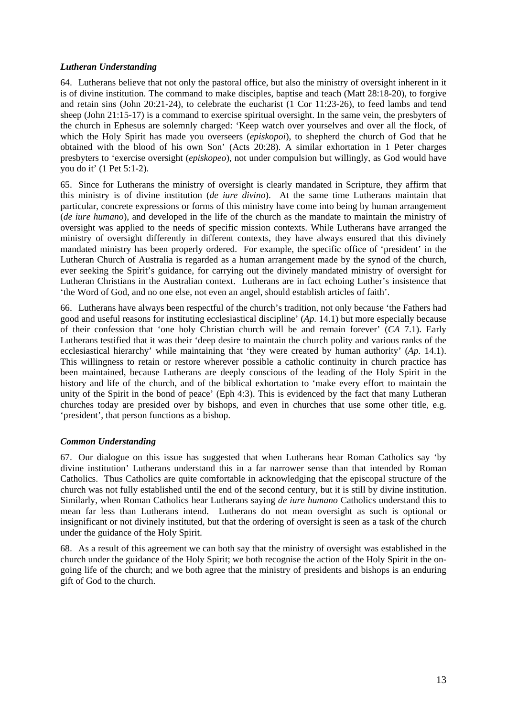#### *Lutheran Understanding*

64. Lutherans believe that not only the pastoral office, but also the ministry of oversight inherent in it is of divine institution. The command to make disciples, baptise and teach (Matt 28:18-20), to forgive and retain sins (John 20:21-24), to celebrate the eucharist (1 Cor 11:23-26), to feed lambs and tend sheep (John 21:15-17) is a command to exercise spiritual oversight. In the same vein, the presbyters of the church in Ephesus are solemnly charged: 'Keep watch over yourselves and over all the flock, of which the Holy Spirit has made you overseers (*episkopoi*), to shepherd the church of God that he obtained with the blood of his own Son' (Acts 20:28). A similar exhortation in 1 Peter charges presbyters to 'exercise oversight (*episkopeo*), not under compulsion but willingly, as God would have you do it' (1 Pet 5:1-2).

65. Since for Lutherans the ministry of oversight is clearly mandated in Scripture, they affirm that this ministry is of divine institution (*de iure divino*). At the same time Lutherans maintain that particular, concrete expressions or forms of this ministry have come into being by human arrangement (*de iure humano*), and developed in the life of the church as the mandate to maintain the ministry of oversight was applied to the needs of specific mission contexts. While Lutherans have arranged the ministry of oversight differently in different contexts, they have always ensured that this divinely mandated ministry has been properly ordered. For example, the specific office of 'president' in the Lutheran Church of Australia is regarded as a human arrangement made by the synod of the church, ever seeking the Spirit's guidance, for carrying out the divinely mandated ministry of oversight for Lutheran Christians in the Australian context. Lutherans are in fact echoing Luther's insistence that 'the Word of God, and no one else, not even an angel, should establish articles of faith'.

66. Lutherans have always been respectful of the church's tradition, not only because 'the Fathers had good and useful reasons for instituting ecclesiastical discipline' (*Ap.* 14.1) but more especially because of their confession that 'one holy Christian church will be and remain forever' (*CA* 7.1). Early Lutherans testified that it was their 'deep desire to maintain the church polity and various ranks of the ecclesiastical hierarchy' while maintaining that 'they were created by human authority' (*Ap.* 14.1). This willingness to retain or restore wherever possible a catholic continuity in church practice has been maintained, because Lutherans are deeply conscious of the leading of the Holy Spirit in the history and life of the church, and of the biblical exhortation to 'make every effort to maintain the unity of the Spirit in the bond of peace' (Eph 4:3). This is evidenced by the fact that many Lutheran churches today are presided over by bishops, and even in churches that use some other title, e.g. 'president', that person functions as a bishop.

#### *Common Understanding*

67. Our dialogue on this issue has suggested that when Lutherans hear Roman Catholics say 'by divine institution' Lutherans understand this in a far narrower sense than that intended by Roman Catholics. Thus Catholics are quite comfortable in acknowledging that the episcopal structure of the church was not fully established until the end of the second century, but it is still by divine institution. Similarly, when Roman Catholics hear Lutherans saying *de iure humano* Catholics understand this to mean far less than Lutherans intend. Lutherans do not mean oversight as such is optional or insignificant or not divinely instituted, but that the ordering of oversight is seen as a task of the church under the guidance of the Holy Spirit.

68. As a result of this agreement we can both say that the ministry of oversight was established in the church under the guidance of the Holy Spirit; we both recognise the action of the Holy Spirit in the ongoing life of the church; and we both agree that the ministry of presidents and bishops is an enduring gift of God to the church.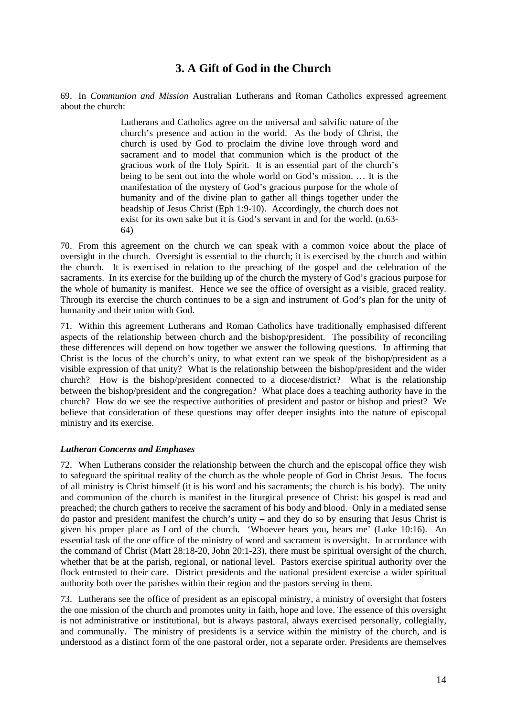## **3. A Gift of God in the Church**

69. In *Communion and Mission* Australian Lutherans and Roman Catholics expressed agreement about the church:

> Lutherans and Catholics agree on the universal and salvific nature of the church's presence and action in the world. As the body of Christ, the church is used by God to proclaim the divine love through word and sacrament and to model that communion which is the product of the gracious work of the Holy Spirit. It is an essential part of the church's being to be sent out into the whole world on God's mission. … It is the manifestation of the mystery of God's gracious purpose for the whole of humanity and of the divine plan to gather all things together under the headship of Jesus Christ (Eph 1:9-10). Accordingly, the church does not exist for its own sake but it is God's servant in and for the world. (n.63- 64)

70. From this agreement on the church we can speak with a common voice about the place of oversight in the church. Oversight is essential to the church; it is exercised by the church and within the church. It is exercised in relation to the preaching of the gospel and the celebration of the sacraments. In its exercise for the building up of the church the mystery of God's gracious purpose for the whole of humanity is manifest. Hence we see the office of oversight as a visible, graced reality. Through its exercise the church continues to be a sign and instrument of God's plan for the unity of humanity and their union with God.

71. Within this agreement Lutherans and Roman Catholics have traditionally emphasised different aspects of the relationship between church and the bishop/president. The possibility of reconciling these differences will depend on how together we answer the following questions. In affirming that Christ is the locus of the church's unity, to what extent can we speak of the bishop/president as a visible expression of that unity? What is the relationship between the bishop/president and the wider church? How is the bishop/president connected to a diocese/district? What is the relationship between the bishop/president and the congregation? What place does a teaching authority have in the church? How do we see the respective authorities of president and pastor or bishop and priest? We believe that consideration of these questions may offer deeper insights into the nature of episcopal ministry and its exercise.

#### *Lutheran Concerns and Emphases*

72. When Lutherans consider the relationship between the church and the episcopal office they wish to safeguard the spiritual reality of the church as the whole people of God in Christ Jesus. The focus of all ministry is Christ himself (it is his word and his sacraments; the church is his body). The unity and communion of the church is manifest in the liturgical presence of Christ: his gospel is read and preached; the church gathers to receive the sacrament of his body and blood. Only in a mediated sense do pastor and president manifest the church's unity – and they do so by ensuring that Jesus Christ is given his proper place as Lord of the church. 'Whoever hears you, hears me' (Luke 10:16). An essential task of the one office of the ministry of word and sacrament is oversight. In accordance with the command of Christ (Matt 28:18-20, John 20:1-23), there must be spiritual oversight of the church, whether that be at the parish, regional, or national level. Pastors exercise spiritual authority over the flock entrusted to their care. District presidents and the national president exercise a wider spiritual authority both over the parishes within their region and the pastors serving in them.

73. Lutherans see the office of president as an episcopal ministry, a ministry of oversight that fosters the one mission of the church and promotes unity in faith, hope and love. The essence of this oversight is not administrative or institutional, but is always pastoral, always exercised personally, collegially, and communally. The ministry of presidents is a service within the ministry of the church, and is understood as a distinct form of the one pastoral order, not a separate order. Presidents are themselves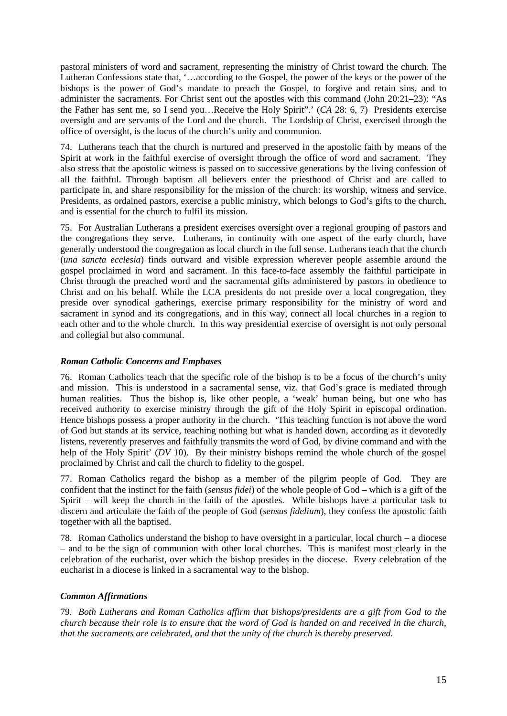pastoral ministers of word and sacrament, representing the ministry of Christ toward the church. The Lutheran Confessions state that, '…according to the Gospel, the power of the keys or the power of the bishops is the power of God's mandate to preach the Gospel, to forgive and retain sins, and to administer the sacraments. For Christ sent out the apostles with this command (John 20:21–23): "As the Father has sent me, so I send you…Receive the Holy Spirit".' (*CA* 28: 6, 7) Presidents exercise oversight and are servants of the Lord and the church. The Lordship of Christ, exercised through the office of oversight, is the locus of the church's unity and communion.

74. Lutherans teach that the church is nurtured and preserved in the apostolic faith by means of the Spirit at work in the faithful exercise of oversight through the office of word and sacrament. They also stress that the apostolic witness is passed on to successive generations by the living confession of all the faithful. Through baptism all believers enter the priesthood of Christ and are called to participate in, and share responsibility for the mission of the church: its worship, witness and service. Presidents, as ordained pastors, exercise a public ministry, which belongs to God's gifts to the church, and is essential for the church to fulfil its mission.

75. For Australian Lutherans a president exercises oversight over a regional grouping of pastors and the congregations they serve. Lutherans, in continuity with one aspect of the early church, have generally understood the congregation as local church in the full sense. Lutherans teach that the church (*una sancta ecclesia*) finds outward and visible expression wherever people assemble around the gospel proclaimed in word and sacrament. In this face-to-face assembly the faithful participate in Christ through the preached word and the sacramental gifts administered by pastors in obedience to Christ and on his behalf. While the LCA presidents do not preside over a local congregation, they preside over synodical gatherings, exercise primary responsibility for the ministry of word and sacrament in synod and its congregations, and in this way, connect all local churches in a region to each other and to the whole church. In this way presidential exercise of oversight is not only personal and collegial but also communal.

#### *Roman Catholic Concerns and Emphases*

76. Roman Catholics teach that the specific role of the bishop is to be a focus of the church's unity and mission. This is understood in a sacramental sense, viz. that God's grace is mediated through human realities. Thus the bishop is, like other people, a 'weak' human being, but one who has received authority to exercise ministry through the gift of the Holy Spirit in episcopal ordination. Hence bishops possess a proper authority in the church. 'This teaching function is not above the word of God but stands at its service, teaching nothing but what is handed down, according as it devotedly listens, reverently preserves and faithfully transmits the word of God, by divine command and with the help of the Holy Spirit' (*DV* 10). By their ministry bishops remind the whole church of the gospel proclaimed by Christ and call the church to fidelity to the gospel.

77. Roman Catholics regard the bishop as a member of the pilgrim people of God. They are confident that the instinct for the faith (*sensus fidei*) of the whole people of God – which is a gift of the Spirit – will keep the church in the faith of the apostles. While bishops have a particular task to discern and articulate the faith of the people of God (*sensus fidelium*), they confess the apostolic faith together with all the baptised.

78. Roman Catholics understand the bishop to have oversight in a particular, local church – a diocese – and to be the sign of communion with other local churches. This is manifest most clearly in the celebration of the eucharist, over which the bishop presides in the diocese. Every celebration of the eucharist in a diocese is linked in a sacramental way to the bishop.

#### *Common Affirmations*

79. *Both Lutherans and Roman Catholics affirm that bishops/presidents are a gift from God to the church because their role is to ensure that the word of God is handed on and received in the church, that the sacraments are celebrated, and that the unity of the church is thereby preserved.*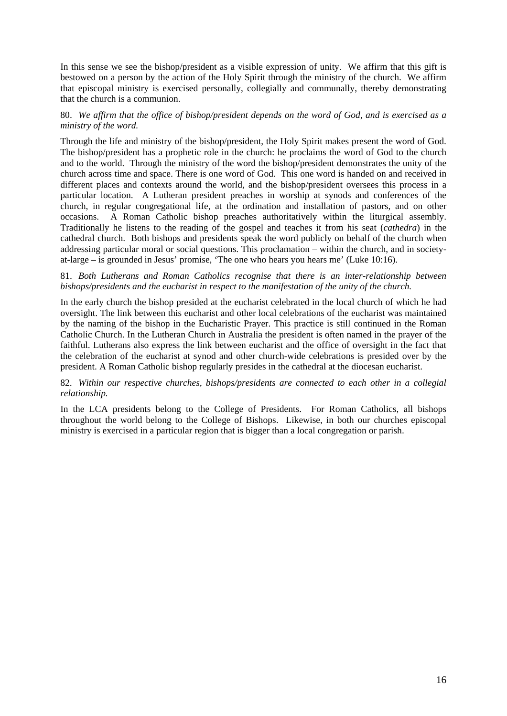In this sense we see the bishop/president as a visible expression of unity. We affirm that this gift is bestowed on a person by the action of the Holy Spirit through the ministry of the church. We affirm that episcopal ministry is exercised personally, collegially and communally, thereby demonstrating that the church is a communion.

#### 80. *We affirm that the office of bishop/president depends on the word of God, and is exercised as a ministry of the word.*

Through the life and ministry of the bishop/president, the Holy Spirit makes present the word of God. The bishop/president has a prophetic role in the church: he proclaims the word of God to the church and to the world. Through the ministry of the word the bishop/president demonstrates the unity of the church across time and space. There is one word of God. This one word is handed on and received in different places and contexts around the world, and the bishop/president oversees this process in a particular location. A Lutheran president preaches in worship at synods and conferences of the church, in regular congregational life, at the ordination and installation of pastors, and on other occasions. A Roman Catholic bishop preaches authoritatively within the liturgical assembly. Traditionally he listens to the reading of the gospel and teaches it from his seat (*cathedra*) in the cathedral church. Both bishops and presidents speak the word publicly on behalf of the church when addressing particular moral or social questions. This proclamation – within the church, and in societyat-large – is grounded in Jesus' promise, 'The one who hears you hears me' (Luke 10:16).

#### 81. *Both Lutherans and Roman Catholics recognise that there is an inter-relationship between bishops/presidents and the eucharist in respect to the manifestation of the unity of the church.*

In the early church the bishop presided at the eucharist celebrated in the local church of which he had oversight. The link between this eucharist and other local celebrations of the eucharist was maintained by the naming of the bishop in the Eucharistic Prayer. This practice is still continued in the Roman Catholic Church. In the Lutheran Church in Australia the president is often named in the prayer of the faithful. Lutherans also express the link between eucharist and the office of oversight in the fact that the celebration of the eucharist at synod and other church-wide celebrations is presided over by the president. A Roman Catholic bishop regularly presides in the cathedral at the diocesan eucharist.

#### 82. *Within our respective churches, bishops/presidents are connected to each other in a collegial relationship.*

In the LCA presidents belong to the College of Presidents. For Roman Catholics, all bishops throughout the world belong to the College of Bishops. Likewise, in both our churches episcopal ministry is exercised in a particular region that is bigger than a local congregation or parish.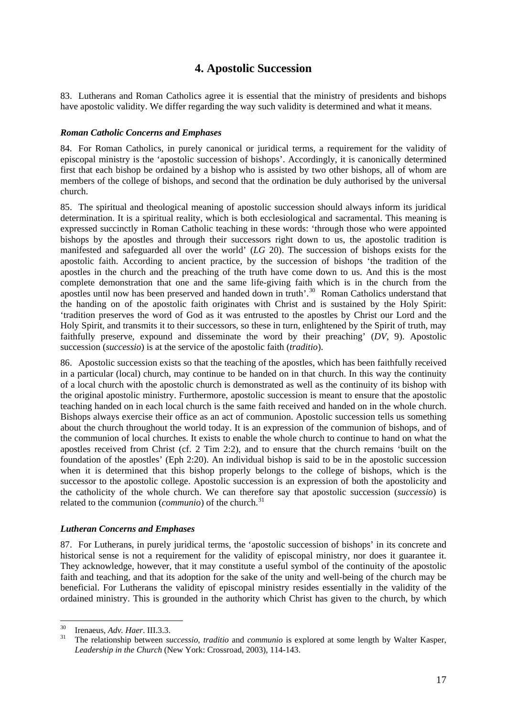## **4. Apostolic Succession**

83. Lutherans and Roman Catholics agree it is essential that the ministry of presidents and bishops have apostolic validity. We differ regarding the way such validity is determined and what it means.

#### *Roman Catholic Concerns and Emphases*

84. For Roman Catholics, in purely canonical or juridical terms, a requirement for the validity of episcopal ministry is the 'apostolic succession of bishops'. Accordingly, it is canonically determined first that each bishop be ordained by a bishop who is assisted by two other bishops, all of whom are members of the college of bishops, and second that the ordination be duly authorised by the universal church.

85. The spiritual and theological meaning of apostolic succession should always inform its juridical determination. It is a spiritual reality, which is both ecclesiological and sacramental. This meaning is expressed succinctly in Roman Catholic teaching in these words: 'through those who were appointed bishops by the apostles and through their successors right down to us, the apostolic tradition is manifested and safeguarded all over the world' (*LG* 20). The succession of bishops exists for the apostolic faith. According to ancient practice, by the succession of bishops 'the tradition of the apostles in the church and the preaching of the truth have come down to us. And this is the most complete demonstration that one and the same life-giving faith which is in the church from the apostles until now has been preserved and handed down in truth'.<sup>[30](#page-16-0)</sup> Roman Catholics understand that the handing on of the apostolic faith originates with Christ and is sustained by the Holy Spirit: 'tradition preserves the word of God as it was entrusted to the apostles by Christ our Lord and the Holy Spirit, and transmits it to their successors, so these in turn, enlightened by the Spirit of truth, may faithfully preserve, expound and disseminate the word by their preaching' (*DV*, 9). Apostolic succession (*successio*) is at the service of the apostolic faith (*traditio*).

86. Apostolic succession exists so that the teaching of the apostles, which has been faithfully received in a particular (local) church, may continue to be handed on in that church. In this way the continuity of a local church with the apostolic church is demonstrated as well as the continuity of its bishop with the original apostolic ministry. Furthermore, apostolic succession is meant to ensure that the apostolic teaching handed on in each local church is the same faith received and handed on in the whole church. Bishops always exercise their office as an act of communion. Apostolic succession tells us something about the church throughout the world today. It is an expression of the communion of bishops, and of the communion of local churches. It exists to enable the whole church to continue to hand on what the apostles received from Christ (cf. 2 Tim 2:2), and to ensure that the church remains 'built on the foundation of the apostles' (Eph 2:20). An individual bishop is said to be in the apostolic succession when it is determined that this bishop properly belongs to the college of bishops, which is the successor to the apostolic college. Apostolic succession is an expression of both the apostolicity and the catholicity of the whole church. We can therefore say that apostolic succession (*successio*) is related to the communion (*communio*) of the church.<sup>[31](#page-16-1)</sup>

#### *Lutheran Concerns and Emphases*

87. For Lutherans, in purely juridical terms, the 'apostolic succession of bishops' in its concrete and historical sense is not a requirement for the validity of episcopal ministry, nor does it guarantee it. They acknowledge, however, that it may constitute a useful symbol of the continuity of the apostolic faith and teaching, and that its adoption for the sake of the unity and well-being of the church may be beneficial. For Lutherans the validity of episcopal ministry resides essentially in the validity of the ordained ministry. This is grounded in the authority which Christ has given to the church, by which

 $30^{\circ}$ 

<span id="page-16-1"></span><span id="page-16-0"></span><sup>&</sup>lt;sup>30</sup> Irenaeus, *Adv. Haer*. III.3.3.<br><sup>31</sup> The relationship between *successio, traditio* and *communio* is explored at some length by Walter Kasper. *Leadership in the Church* (New York: Crossroad, 2003), 114-143.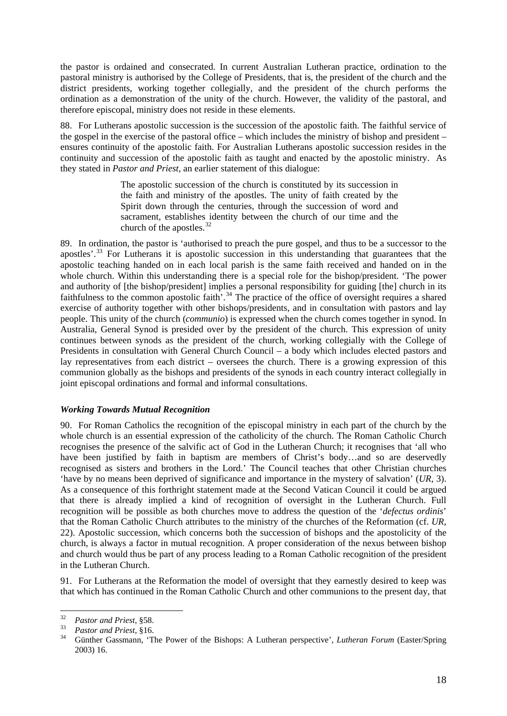the pastor is ordained and consecrated. In current Australian Lutheran practice, ordination to the pastoral ministry is authorised by the College of Presidents, that is, the president of the church and the district presidents, working together collegially, and the president of the church performs the ordination as a demonstration of the unity of the church. However, the validity of the pastoral, and therefore episcopal, ministry does not reside in these elements.

88. For Lutherans apostolic succession is the succession of the apostolic faith. The faithful service of the gospel in the exercise of the pastoral office – which includes the ministry of bishop and president – ensures continuity of the apostolic faith. For Australian Lutherans apostolic succession resides in the continuity and succession of the apostolic faith as taught and enacted by the apostolic ministry. As they stated in *Pastor and Priest*, an earlier statement of this dialogue:

> The apostolic succession of the church is constituted by its succession in the faith and ministry of the apostles. The unity of faith created by the Spirit down through the centuries, through the succession of word and sacrament, establishes identity between the church of our time and the church of the apostles.<sup>[32](#page-17-0)</sup>

89. In ordination, the pastor is 'authorised to preach the pure gospel, and thus to be a successor to the apostles'.[33](#page-17-1) For Lutherans it is apostolic succession in this understanding that guarantees that the apostolic teaching handed on in each local parish is the same faith received and handed on in the whole church. Within this understanding there is a special role for the bishop/president. 'The power and authority of [the bishop/president] implies a personal responsibility for guiding [the] church in its faithfulness to the common apostolic faith'.<sup>[34](#page-17-2)</sup> The practice of the office of oversight requires a shared exercise of authority together with other bishops/presidents, and in consultation with pastors and lay people. This unity of the church (*communio*) is expressed when the church comes together in synod. In Australia, General Synod is presided over by the president of the church. This expression of unity continues between synods as the president of the church, working collegially with the College of Presidents in consultation with General Church Council – a body which includes elected pastors and lay representatives from each district – oversees the church. There is a growing expression of this communion globally as the bishops and presidents of the synods in each country interact collegially in joint episcopal ordinations and formal and informal consultations.

#### *Working Towards Mutual Recognition*

90. For Roman Catholics the recognition of the episcopal ministry in each part of the church by the whole church is an essential expression of the catholicity of the church. The Roman Catholic Church recognises the presence of the salvific act of God in the Lutheran Church; it recognises that 'all who have been justified by faith in baptism are members of Christ's body...and so are deservedly recognised as sisters and brothers in the Lord.' The Council teaches that other Christian churches 'have by no means been deprived of significance and importance in the mystery of salvation' (*UR*, 3). As a consequence of this forthright statement made at the Second Vatican Council it could be argued that there is already implied a kind of recognition of oversight in the Lutheran Church. Full recognition will be possible as both churches move to address the question of the '*defectus ordinis*' that the Roman Catholic Church attributes to the ministry of the churches of the Reformation (cf. *UR*, 22). Apostolic succession, which concerns both the succession of bishops and the apostolicity of the church, is always a factor in mutual recognition. A proper consideration of the nexus between bishop and church would thus be part of any process leading to a Roman Catholic recognition of the president in the Lutheran Church.

91. For Lutherans at the Reformation the model of oversight that they earnestly desired to keep was that which has continued in the Roman Catholic Church and other communions to the present day, that

<sup>32</sup> 

<span id="page-17-2"></span>

<span id="page-17-1"></span><span id="page-17-0"></span><sup>32</sup>*Pastor and Priest*, §58. 33 *Pastor and Priest*, §16. 34 Günther Gassmann, 'The Power of the Bishops: A Lutheran perspective', *Lutheran Forum* (Easter/Spring 2003) 16.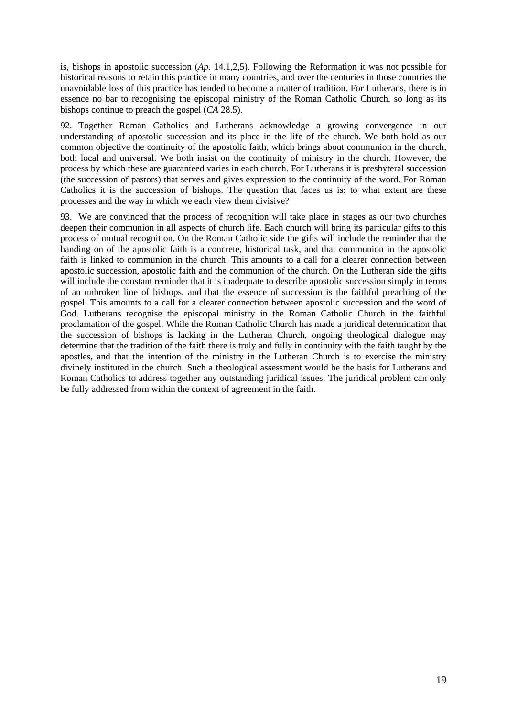is, bishops in apostolic succession (*Ap.* 14.1,2,5). Following the Reformation it was not possible for historical reasons to retain this practice in many countries, and over the centuries in those countries the unavoidable loss of this practice has tended to become a matter of tradition. For Lutherans, there is in essence no bar to recognising the episcopal ministry of the Roman Catholic Church, so long as its bishops continue to preach the gospel (*CA* 28.5).

92. Together Roman Catholics and Lutherans acknowledge a growing convergence in our understanding of apostolic succession and its place in the life of the church. We both hold as our common objective the continuity of the apostolic faith, which brings about communion in the church, both local and universal. We both insist on the continuity of ministry in the church. However, the process by which these are guaranteed varies in each church. For Lutherans it is presbyteral succession (the succession of pastors) that serves and gives expression to the continuity of the word. For Roman Catholics it is the succession of bishops. The question that faces us is: to what extent are these processes and the way in which we each view them divisive?

93. We are convinced that the process of recognition will take place in stages as our two churches deepen their communion in all aspects of church life. Each church will bring its particular gifts to this process of mutual recognition. On the Roman Catholic side the gifts will include the reminder that the handing on of the apostolic faith is a concrete, historical task, and that communion in the apostolic faith is linked to communion in the church. This amounts to a call for a clearer connection between apostolic succession, apostolic faith and the communion of the church. On the Lutheran side the gifts will include the constant reminder that it is inadequate to describe apostolic succession simply in terms of an unbroken line of bishops, and that the essence of succession is the faithful preaching of the gospel. This amounts to a call for a clearer connection between apostolic succession and the word of God. Lutherans recognise the episcopal ministry in the Roman Catholic Church in the faithful proclamation of the gospel. While the Roman Catholic Church has made a juridical determination that the succession of bishops is lacking in the Lutheran Church, ongoing theological dialogue may determine that the tradition of the faith there is truly and fully in continuity with the faith taught by the apostles, and that the intention of the ministry in the Lutheran Church is to exercise the ministry divinely instituted in the church. Such a theological assessment would be the basis for Lutherans and Roman Catholics to address together any outstanding juridical issues. The juridical problem can only be fully addressed from within the context of agreement in the faith.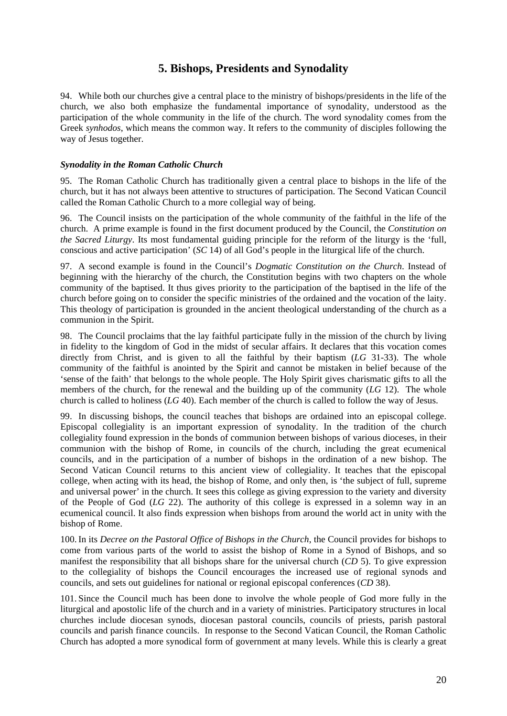## **5. Bishops, Presidents and Synodality**

94. While both our churches give a central place to the ministry of bishops/presidents in the life of the church, we also both emphasize the fundamental importance of synodality, understood as the participation of the whole community in the life of the church. The word synodality comes from the Greek *synhodos*, which means the common way. It refers to the community of disciples following the way of Jesus together.

#### *Synodality in the Roman Catholic Church*

95. The Roman Catholic Church has traditionally given a central place to bishops in the life of the church, but it has not always been attentive to structures of participation. The Second Vatican Council called the Roman Catholic Church to a more collegial way of being.

96. The Council insists on the participation of the whole community of the faithful in the life of the church. A prime example is found in the first document produced by the Council, the *Constitution on the Sacred Liturgy*. Its most fundamental guiding principle for the reform of the liturgy is the 'full, conscious and active participation' (*SC* 14) of all God's people in the liturgical life of the church.

97. A second example is found in the Council's *Dogmatic Constitution on the Church*. Instead of beginning with the hierarchy of the church, the Constitution begins with two chapters on the whole community of the baptised. It thus gives priority to the participation of the baptised in the life of the church before going on to consider the specific ministries of the ordained and the vocation of the laity. This theology of participation is grounded in the ancient theological understanding of the church as a communion in the Spirit.

98. The Council proclaims that the lay faithful participate fully in the mission of the church by living in fidelity to the kingdom of God in the midst of secular affairs. It declares that this vocation comes directly from Christ, and is given to all the faithful by their baptism (*LG* 31-33). The whole community of the faithful is anointed by the Spirit and cannot be mistaken in belief because of the 'sense of the faith' that belongs to the whole people. The Holy Spirit gives charismatic gifts to all the members of the church, for the renewal and the building up of the community (*LG* 12). The whole church is called to holiness (*LG* 40). Each member of the church is called to follow the way of Jesus.

99. In discussing bishops, the council teaches that bishops are ordained into an episcopal college. Episcopal collegiality is an important expression of synodality. In the tradition of the church collegiality found expression in the bonds of communion between bishops of various dioceses, in their communion with the bishop of Rome, in councils of the church, including the great ecumenical councils, and in the participation of a number of bishops in the ordination of a new bishop. The Second Vatican Council returns to this ancient view of collegiality. It teaches that the episcopal college, when acting with its head, the bishop of Rome, and only then, is 'the subject of full, supreme and universal power' in the church. It sees this college as giving expression to the variety and diversity of the People of God (*LG* 22). The authority of this college is expressed in a solemn way in an ecumenical council. It also finds expression when bishops from around the world act in unity with the bishop of Rome.

100. In its *Decree on the Pastoral Office of Bishops in the Church*, the Council provides for bishops to come from various parts of the world to assist the bishop of Rome in a Synod of Bishops, and so manifest the responsibility that all bishops share for the universal church (*CD* 5). To give expression to the collegiality of bishops the Council encourages the increased use of regional synods and councils, and sets out guidelines for national or regional episcopal conferences (*CD* 38).

101. Since the Council much has been done to involve the whole people of God more fully in the liturgical and apostolic life of the church and in a variety of ministries. Participatory structures in local churches include diocesan synods, diocesan pastoral councils, councils of priests, parish pastoral councils and parish finance councils. In response to the Second Vatican Council, the Roman Catholic Church has adopted a more synodical form of government at many levels. While this is clearly a great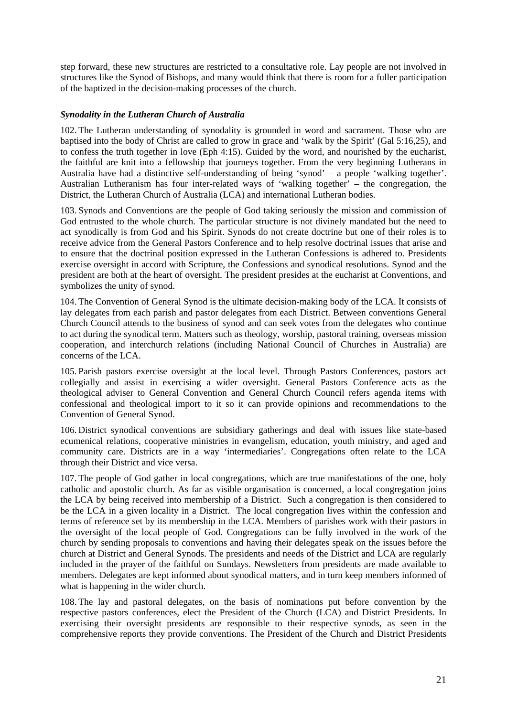step forward, these new structures are restricted to a consultative role. Lay people are not involved in structures like the Synod of Bishops, and many would think that there is room for a fuller participation of the baptized in the decision-making processes of the church.

#### *Synodality in the Lutheran Church of Australia*

102. The Lutheran understanding of synodality is grounded in word and sacrament. Those who are baptised into the body of Christ are called to grow in grace and 'walk by the Spirit' (Gal 5:16,25), and to confess the truth together in love (Eph 4:15). Guided by the word, and nourished by the eucharist, the faithful are knit into a fellowship that journeys together. From the very beginning Lutherans in Australia have had a distinctive self-understanding of being 'synod' – a people 'walking together'. Australian Lutheranism has four inter-related ways of 'walking together' – the congregation, the District, the Lutheran Church of Australia (LCA) and international Lutheran bodies.

103. Synods and Conventions are the people of God taking seriously the mission and commission of God entrusted to the whole church. The particular structure is not divinely mandated but the need to act synodically is from God and his Spirit. Synods do not create doctrine but one of their roles is to receive advice from the General Pastors Conference and to help resolve doctrinal issues that arise and to ensure that the doctrinal position expressed in the Lutheran Confessions is adhered to. Presidents exercise oversight in accord with Scripture, the Confessions and synodical resolutions. Synod and the president are both at the heart of oversight. The president presides at the eucharist at Conventions, and symbolizes the unity of synod.

104. The Convention of General Synod is the ultimate decision-making body of the LCA. It consists of lay delegates from each parish and pastor delegates from each District. Between conventions General Church Council attends to the business of synod and can seek votes from the delegates who continue to act during the synodical term. Matters such as theology, worship, pastoral training, overseas mission cooperation, and interchurch relations (including National Council of Churches in Australia) are concerns of the LCA.

105. Parish pastors exercise oversight at the local level. Through Pastors Conferences, pastors act collegially and assist in exercising a wider oversight. General Pastors Conference acts as the theological adviser to General Convention and General Church Council refers agenda items with confessional and theological import to it so it can provide opinions and recommendations to the Convention of General Synod.

106. District synodical conventions are subsidiary gatherings and deal with issues like state-based ecumenical relations, cooperative ministries in evangelism, education, youth ministry, and aged and community care. Districts are in a way 'intermediaries'. Congregations often relate to the LCA through their District and vice versa.

107. The people of God gather in local congregations, which are true manifestations of the one, holy catholic and apostolic church. As far as visible organisation is concerned, a local congregation joins the LCA by being received into membership of a District. Such a congregation is then considered to be the LCA in a given locality in a District. The local congregation lives within the confession and terms of reference set by its membership in the LCA. Members of parishes work with their pastors in the oversight of the local people of God. Congregations can be fully involved in the work of the church by sending proposals to conventions and having their delegates speak on the issues before the church at District and General Synods. The presidents and needs of the District and LCA are regularly included in the prayer of the faithful on Sundays. Newsletters from presidents are made available to members. Delegates are kept informed about synodical matters, and in turn keep members informed of what is happening in the wider church.

108. The lay and pastoral delegates, on the basis of nominations put before convention by the respective pastors conferences, elect the President of the Church (LCA) and District Presidents. In exercising their oversight presidents are responsible to their respective synods, as seen in the comprehensive reports they provide conventions. The President of the Church and District Presidents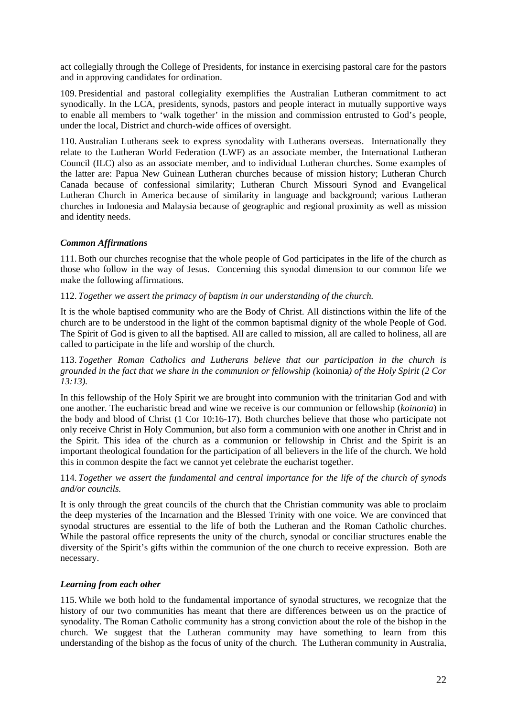act collegially through the College of Presidents, for instance in exercising pastoral care for the pastors and in approving candidates for ordination.

109. Presidential and pastoral collegiality exemplifies the Australian Lutheran commitment to act synodically. In the LCA, presidents, synods, pastors and people interact in mutually supportive ways to enable all members to 'walk together' in the mission and commission entrusted to God's people, under the local, District and church-wide offices of oversight.

110. Australian Lutherans seek to express synodality with Lutherans overseas. Internationally they relate to the Lutheran World Federation (LWF) as an associate member, the International Lutheran Council (ILC) also as an associate member, and to individual Lutheran churches. Some examples of the latter are: Papua New Guinean Lutheran churches because of mission history; Lutheran Church Canada because of confessional similarity; Lutheran Church Missouri Synod and Evangelical Lutheran Church in America because of similarity in language and background; various Lutheran churches in Indonesia and Malaysia because of geographic and regional proximity as well as mission and identity needs.

#### *Common Affirmations*

111. Both our churches recognise that the whole people of God participates in the life of the church as those who follow in the way of Jesus. Concerning this synodal dimension to our common life we make the following affirmations.

112. *Together we assert the primacy of baptism in our understanding of the church.*

It is the whole baptised community who are the Body of Christ. All distinctions within the life of the church are to be understood in the light of the common baptismal dignity of the whole People of God. The Spirit of God is given to all the baptised. All are called to mission, all are called to holiness, all are called to participate in the life and worship of the church.

113. *Together Roman Catholics and Lutherans believe that our participation in the church is grounded in the fact that we share in the communion or fellowship (*koinonia*) of the Holy Spirit (2 Cor 13:13).*

In this fellowship of the Holy Spirit we are brought into communion with the trinitarian God and with one another. The eucharistic bread and wine we receive is our communion or fellowship (*koinonia*) in the body and blood of Christ (1 Cor 10:16-17). Both churches believe that those who participate not only receive Christ in Holy Communion, but also form a communion with one another in Christ and in the Spirit. This idea of the church as a communion or fellowship in Christ and the Spirit is an important theological foundation for the participation of all believers in the life of the church. We hold this in common despite the fact we cannot yet celebrate the eucharist together.

#### 114. *Together we assert the fundamental and central importance for the life of the church of synods and/or councils.*

It is only through the great councils of the church that the Christian community was able to proclaim the deep mysteries of the Incarnation and the Blessed Trinity with one voice. We are convinced that synodal structures are essential to the life of both the Lutheran and the Roman Catholic churches. While the pastoral office represents the unity of the church, synodal or conciliar structures enable the diversity of the Spirit's gifts within the communion of the one church to receive expression. Both are necessary.

#### *Learning from each other*

115. While we both hold to the fundamental importance of synodal structures, we recognize that the history of our two communities has meant that there are differences between us on the practice of synodality. The Roman Catholic community has a strong conviction about the role of the bishop in the church. We suggest that the Lutheran community may have something to learn from this understanding of the bishop as the focus of unity of the church. The Lutheran community in Australia,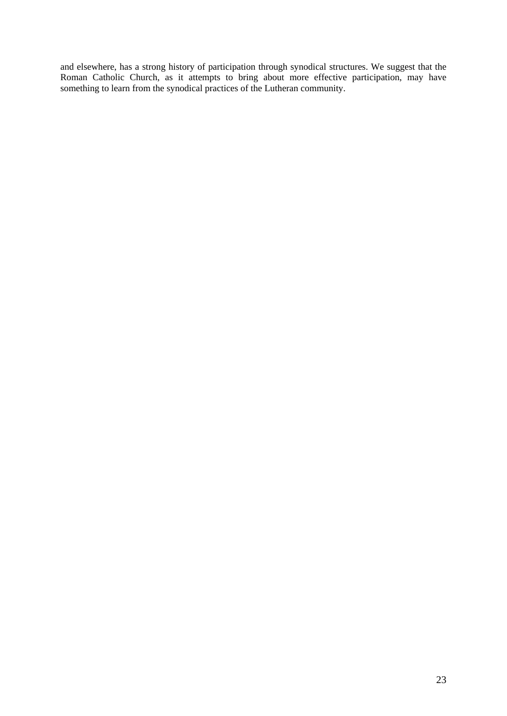and elsewhere, has a strong history of participation through synodical structures. We suggest that the Roman Catholic Church, as it attempts to bring about more effective participation, may have something to learn from the synodical practices of the Lutheran community.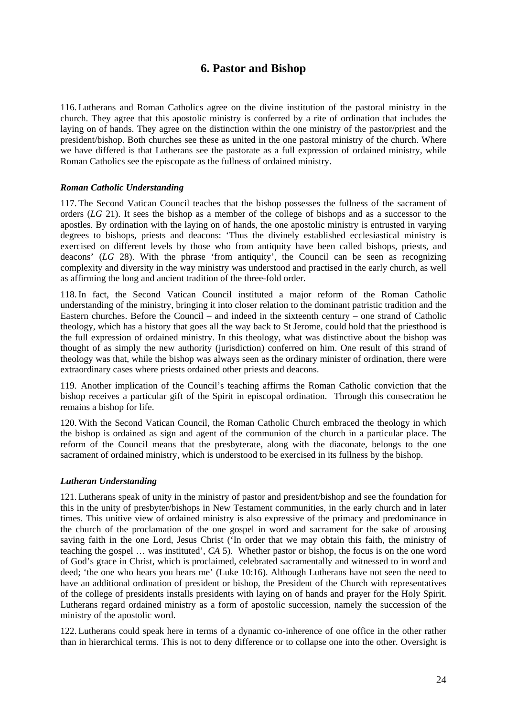## **6. Pastor and Bishop**

116. Lutherans and Roman Catholics agree on the divine institution of the pastoral ministry in the church. They agree that this apostolic ministry is conferred by a rite of ordination that includes the laying on of hands. They agree on the distinction within the one ministry of the pastor/priest and the president/bishop. Both churches see these as united in the one pastoral ministry of the church. Where we have differed is that Lutherans see the pastorate as a full expression of ordained ministry, while Roman Catholics see the episcopate as the fullness of ordained ministry.

#### *Roman Catholic Understanding*

117. The Second Vatican Council teaches that the bishop possesses the fullness of the sacrament of orders (*LG* 21). It sees the bishop as a member of the college of bishops and as a successor to the apostles. By ordination with the laying on of hands, the one apostolic ministry is entrusted in varying degrees to bishops, priests and deacons: 'Thus the divinely established ecclesiastical ministry is exercised on different levels by those who from antiquity have been called bishops, priests, and deacons' (*LG* 28). With the phrase 'from antiquity', the Council can be seen as recognizing complexity and diversity in the way ministry was understood and practised in the early church, as well as affirming the long and ancient tradition of the three-fold order.

118. In fact, the Second Vatican Council instituted a major reform of the Roman Catholic understanding of the ministry, bringing it into closer relation to the dominant patristic tradition and the Eastern churches. Before the Council – and indeed in the sixteenth century – one strand of Catholic theology, which has a history that goes all the way back to St Jerome, could hold that the priesthood is the full expression of ordained ministry. In this theology, what was distinctive about the bishop was thought of as simply the new authority (jurisdiction) conferred on him. One result of this strand of theology was that, while the bishop was always seen as the ordinary minister of ordination, there were extraordinary cases where priests ordained other priests and deacons.

119. Another implication of the Council's teaching affirms the Roman Catholic conviction that the bishop receives a particular gift of the Spirit in episcopal ordination. Through this consecration he remains a bishop for life.

120. With the Second Vatican Council, the Roman Catholic Church embraced the theology in which the bishop is ordained as sign and agent of the communion of the church in a particular place. The reform of the Council means that the presbyterate, along with the diaconate, belongs to the one sacrament of ordained ministry, which is understood to be exercised in its fullness by the bishop.

#### *Lutheran Understanding*

121. Lutherans speak of unity in the ministry of pastor and president/bishop and see the foundation for this in the unity of presbyter/bishops in New Testament communities, in the early church and in later times. This unitive view of ordained ministry is also expressive of the primacy and predominance in the church of the proclamation of the one gospel in word and sacrament for the sake of arousing saving faith in the one Lord, Jesus Christ ('In order that we may obtain this faith, the ministry of teaching the gospel … was instituted', *CA* 5). Whether pastor or bishop, the focus is on the one word of God's grace in Christ, which is proclaimed, celebrated sacramentally and witnessed to in word and deed; 'the one who hears you hears me' (Luke 10:16). Although Lutherans have not seen the need to have an additional ordination of president or bishop, the President of the Church with representatives of the college of presidents installs presidents with laying on of hands and prayer for the Holy Spirit. Lutherans regard ordained ministry as a form of apostolic succession, namely the succession of the ministry of the apostolic word.

122. Lutherans could speak here in terms of a dynamic co-inherence of one office in the other rather than in hierarchical terms. This is not to deny difference or to collapse one into the other. Oversight is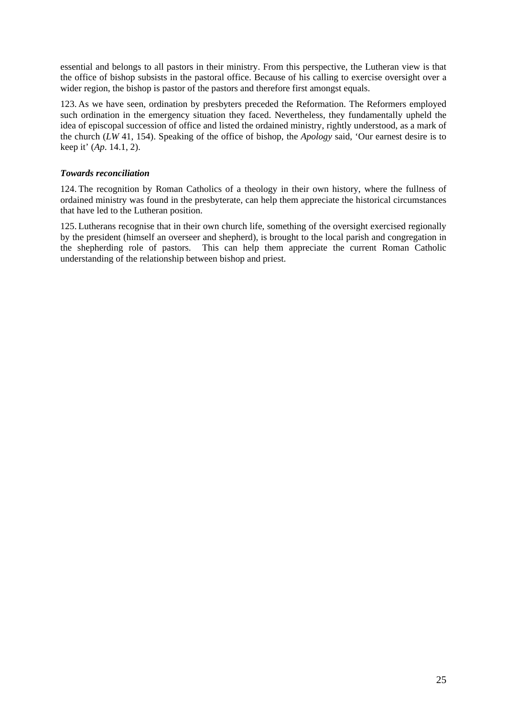essential and belongs to all pastors in their ministry. From this perspective, the Lutheran view is that the office of bishop subsists in the pastoral office. Because of his calling to exercise oversight over a wider region, the bishop is pastor of the pastors and therefore first amongst equals.

123. As we have seen, ordination by presbyters preceded the Reformation. The Reformers employed such ordination in the emergency situation they faced. Nevertheless, they fundamentally upheld the idea of episcopal succession of office and listed the ordained ministry, rightly understood, as a mark of the church (*LW* 41, 154). Speaking of the office of bishop, the *Apology* said, 'Our earnest desire is to keep it' (*Ap*. 14.1, 2).

#### *Towards reconciliation*

124. The recognition by Roman Catholics of a theology in their own history, where the fullness of ordained ministry was found in the presbyterate, can help them appreciate the historical circumstances that have led to the Lutheran position.

125. Lutherans recognise that in their own church life, something of the oversight exercised regionally by the president (himself an overseer and shepherd), is brought to the local parish and congregation in the shepherding role of pastors. This can help them appreciate the current Roman Catholic understanding of the relationship between bishop and priest.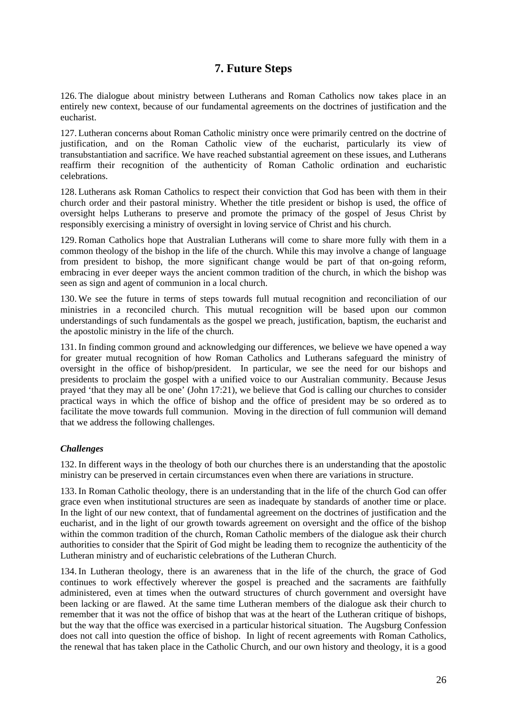## **7. Future Steps**

126. The dialogue about ministry between Lutherans and Roman Catholics now takes place in an entirely new context, because of our fundamental agreements on the doctrines of justification and the eucharist.

127. Lutheran concerns about Roman Catholic ministry once were primarily centred on the doctrine of justification, and on the Roman Catholic view of the eucharist, particularly its view of transubstantiation and sacrifice. We have reached substantial agreement on these issues, and Lutherans reaffirm their recognition of the authenticity of Roman Catholic ordination and eucharistic celebrations.

128. Lutherans ask Roman Catholics to respect their conviction that God has been with them in their church order and their pastoral ministry. Whether the title president or bishop is used, the office of oversight helps Lutherans to preserve and promote the primacy of the gospel of Jesus Christ by responsibly exercising a ministry of oversight in loving service of Christ and his church.

129. Roman Catholics hope that Australian Lutherans will come to share more fully with them in a common theology of the bishop in the life of the church. While this may involve a change of language from president to bishop, the more significant change would be part of that on-going reform, embracing in ever deeper ways the ancient common tradition of the church, in which the bishop was seen as sign and agent of communion in a local church.

130. We see the future in terms of steps towards full mutual recognition and reconciliation of our ministries in a reconciled church. This mutual recognition will be based upon our common understandings of such fundamentals as the gospel we preach, justification, baptism, the eucharist and the apostolic ministry in the life of the church.

131. In finding common ground and acknowledging our differences, we believe we have opened a way for greater mutual recognition of how Roman Catholics and Lutherans safeguard the ministry of oversight in the office of bishop/president. In particular, we see the need for our bishops and presidents to proclaim the gospel with a unified voice to our Australian community. Because Jesus prayed 'that they may all be one' (John 17:21), we believe that God is calling our churches to consider practical ways in which the office of bishop and the office of president may be so ordered as to facilitate the move towards full communion. Moving in the direction of full communion will demand that we address the following challenges.

#### *Challenges*

132. In different ways in the theology of both our churches there is an understanding that the apostolic ministry can be preserved in certain circumstances even when there are variations in structure.

133. In Roman Catholic theology, there is an understanding that in the life of the church God can offer grace even when institutional structures are seen as inadequate by standards of another time or place. In the light of our new context, that of fundamental agreement on the doctrines of justification and the eucharist, and in the light of our growth towards agreement on oversight and the office of the bishop within the common tradition of the church, Roman Catholic members of the dialogue ask their church authorities to consider that the Spirit of God might be leading them to recognize the authenticity of the Lutheran ministry and of eucharistic celebrations of the Lutheran Church.

134. In Lutheran theology, there is an awareness that in the life of the church, the grace of God continues to work effectively wherever the gospel is preached and the sacraments are faithfully administered, even at times when the outward structures of church government and oversight have been lacking or are flawed. At the same time Lutheran members of the dialogue ask their church to remember that it was not the office of bishop that was at the heart of the Lutheran critique of bishops, but the way that the office was exercised in a particular historical situation. The Augsburg Confession does not call into question the office of bishop. In light of recent agreements with Roman Catholics, the renewal that has taken place in the Catholic Church, and our own history and theology, it is a good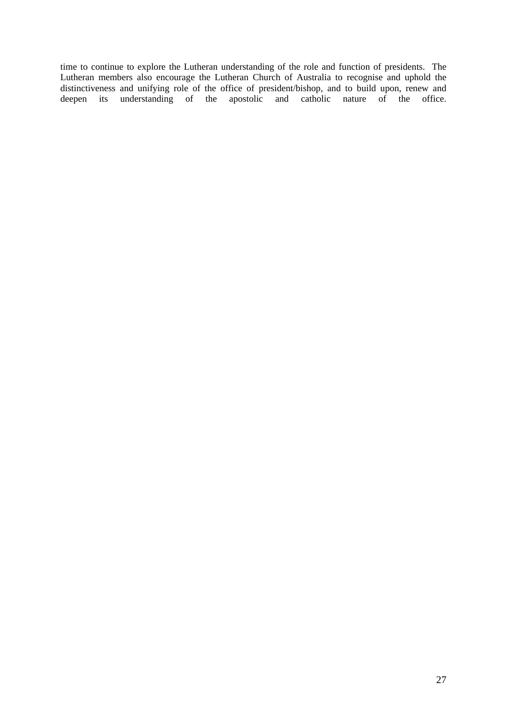time to continue to explore the Lutheran understanding of the role and function of presidents. The Lutheran members also encourage the Lutheran Church of Australia to recognise and uphold the distinctiveness and unifying role of the office of president/bishop, and to build upon, renew and deepen its understanding of the apostolic and catholic nature of the office.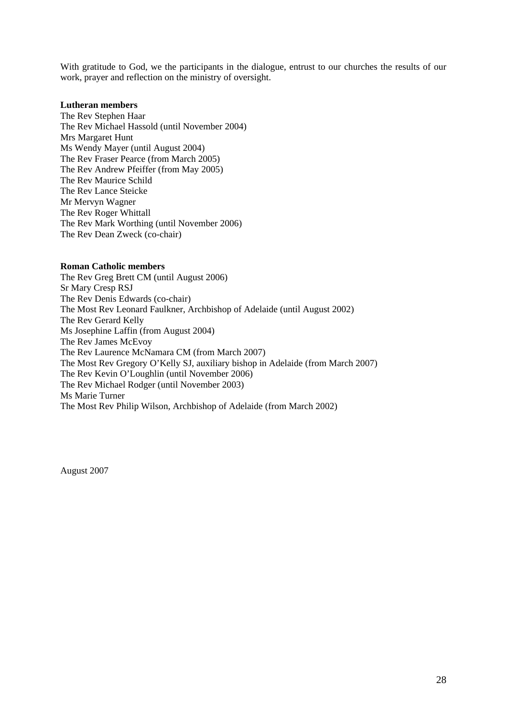With gratitude to God, we the participants in the dialogue, entrust to our churches the results of our work, prayer and reflection on the ministry of oversight.

#### **Lutheran members**

The Rev Stephen Haar The Rev Michael Hassold (until November 2004) Mrs Margaret Hunt Ms Wendy Mayer (until August 2004) The Rev Fraser Pearce (from March 2005) The Rev Andrew Pfeiffer (from May 2005) The Rev Maurice Schild The Rev Lance Steicke Mr Mervyn Wagner The Rev Roger Whittall The Rev Mark Worthing (until November 2006) The Rev Dean Zweck (co-chair)

#### **Roman Catholic members**

The Rev Greg Brett CM (until August 2006) Sr Mary Cresp RSJ The Rev Denis Edwards (co-chair) The Most Rev Leonard Faulkner, Archbishop of Adelaide (until August 2002) The Rev Gerard Kelly Ms Josephine Laffin (from August 2004) The Rev James McEvoy The Rev Laurence McNamara CM (from March 2007) The Most Rev Gregory O'Kelly SJ, auxiliary bishop in Adelaide (from March 2007) The Rev Kevin O'Loughlin (until November 2006) The Rev Michael Rodger (until November 2003) Ms Marie Turner The Most Rev Philip Wilson, Archbishop of Adelaide (from March 2002)

August 2007